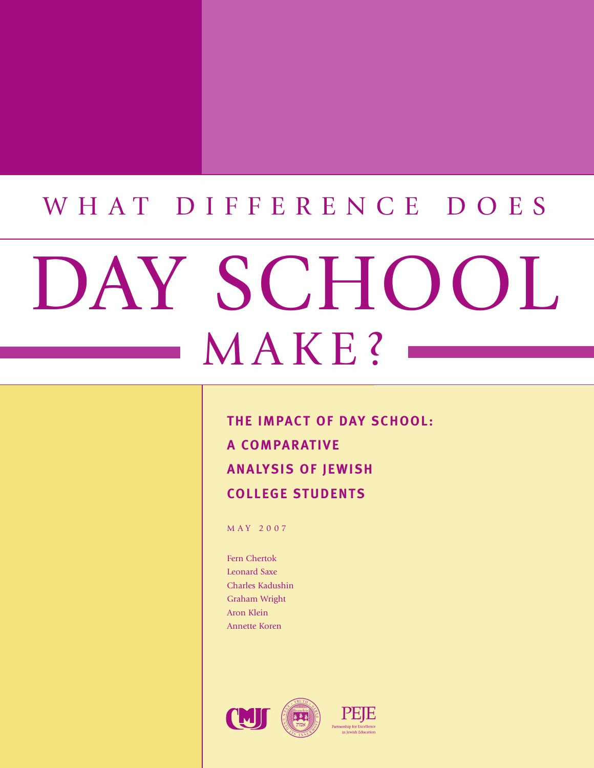## WHAT DIFFERENCE DOES

# DAY SCHOOL MAKE?

### **THE IMPACT OF DAY SCHOOL: A COMPARATIVE ANALYSIS OF JEWISH COLLEGE STUDENTS**

MAY 2007

Fern Chertok Leonard Saxe Charles Kadushin Graham Wright Aron Klein Annette Koren



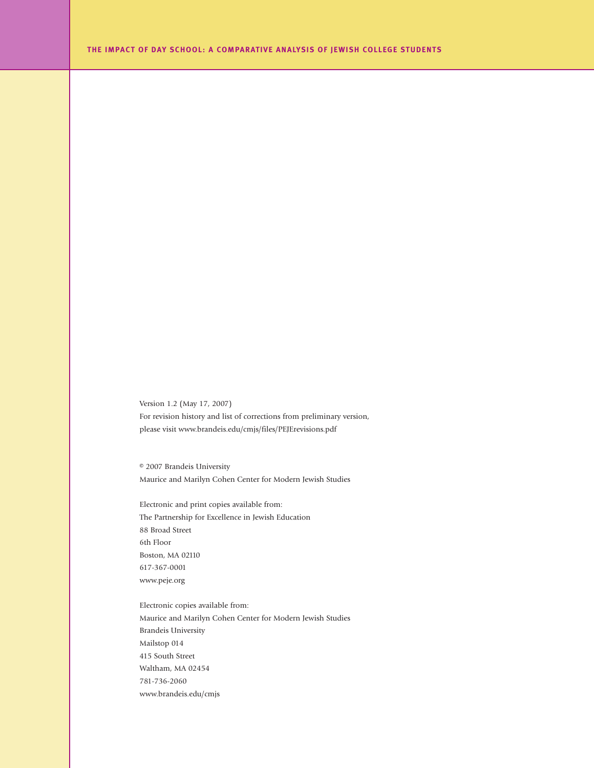Version 1.2 (May 17, 2007) For revision history and list of corrections from preliminary version, please visit www.brandeis.edu/cmjs/files/PEJErevisions.pdf

© 2007 Brandeis University Maurice and Marilyn Cohen Center for Modern Jewish Studies

Electronic and print copies available from: The Partnership for Excellence in Jewish Education 88 Broad Street 6th Floor Boston, MA 02110 617-367-0001 www.peje.org

Electronic copies available from: Maurice and Marilyn Cohen Center for Modern Jewish Studies Brandeis University Mailstop 014 415 South Street Waltham, MA 02454 781-736-2060 www.brandeis.edu/cmjs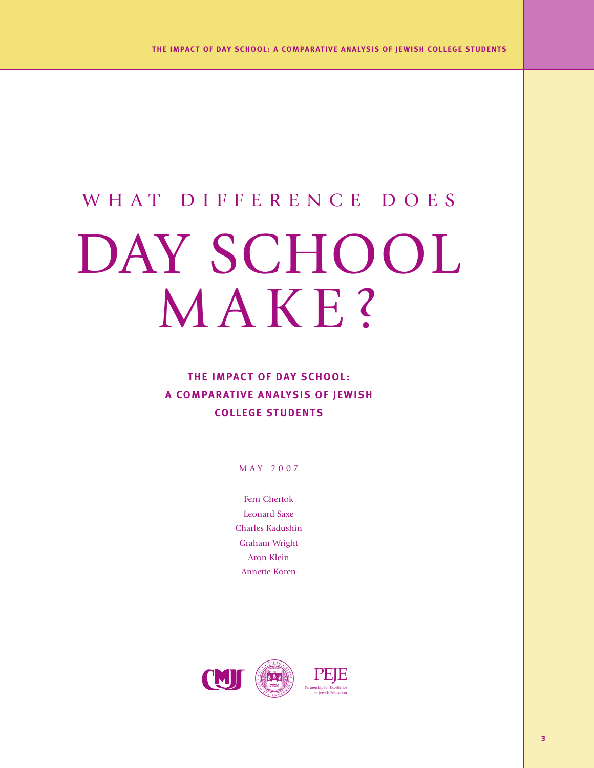## DAY SCHOOL MAKE? WHAT DIFFERENCE DOES

**THE IMPACT OF DAY SCHOOL: A COMPARATIVE ANALYSIS OF JEWISH COLLEGE STUDENTS**

M A Y 2007

Fern Chertok Leonard Saxe Charles Kadushin Graham Wright Aron Klein Annette Koren

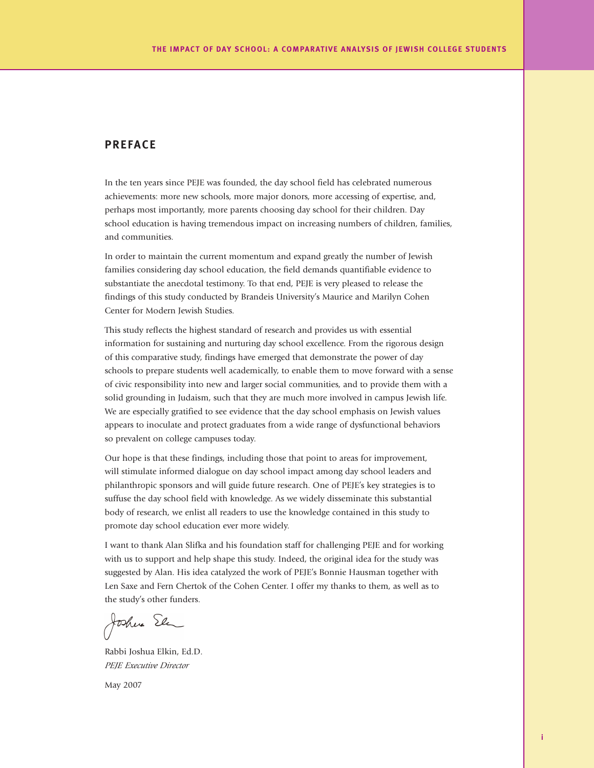#### **PREFACE**

In the ten years since PEJE was founded, the day school field has celebrated numerous achievements: more new schools, more major donors, more accessing of expertise, and, perhaps most importantly, more parents choosing day school for their children. Day school education is having tremendous impact on increasing numbers of children, families, and communities.

In order to maintain the current momentum and expand greatly the number of Jewish families considering day school education, the field demands quantifiable evidence to substantiate the anecdotal testimony. To that end, PEJE is very pleased to release the findings of this study conducted by Brandeis University's Maurice and Marilyn Cohen Center for Modern Jewish Studies.

This study reflects the highest standard of research and provides us with essential information for sustaining and nurturing day school excellence. From the rigorous design of this comparative study, findings have emerged that demonstrate the power of day schools to prepare students well academically, to enable them to move forward with a sense of civic responsibility into new and larger social communities, and to provide them with a solid grounding in Judaism, such that they are much more involved in campus Jewish life. We are especially gratified to see evidence that the day school emphasis on Jewish values appears to inoculate and protect graduates from a wide range of dysfunctional behaviors so prevalent on college campuses today.

Our hope is that these findings, including those that point to areas for improvement, will stimulate informed dialogue on day school impact among day school leaders and philanthropic sponsors and will guide future research. One of PEJE's key strategies is to suffuse the day school field with knowledge. As we widely disseminate this substantial body of research, we enlist all readers to use the knowledge contained in this study to promote day school education ever more widely.

I want to thank Alan Slifka and his foundation staff for challenging PEJE and for working with us to support and help shape this study. Indeed, the original idea for the study was suggested by Alan. His idea catalyzed the work of PEJE's Bonnie Hausman together with Len Saxe and Fern Chertok of the Cohen Center. I offer my thanks to them, as well as to the study's other funders.

Joshua Ele

Rabbi Joshua Elkin, Ed.D. *PEJE Executive Director* May 2007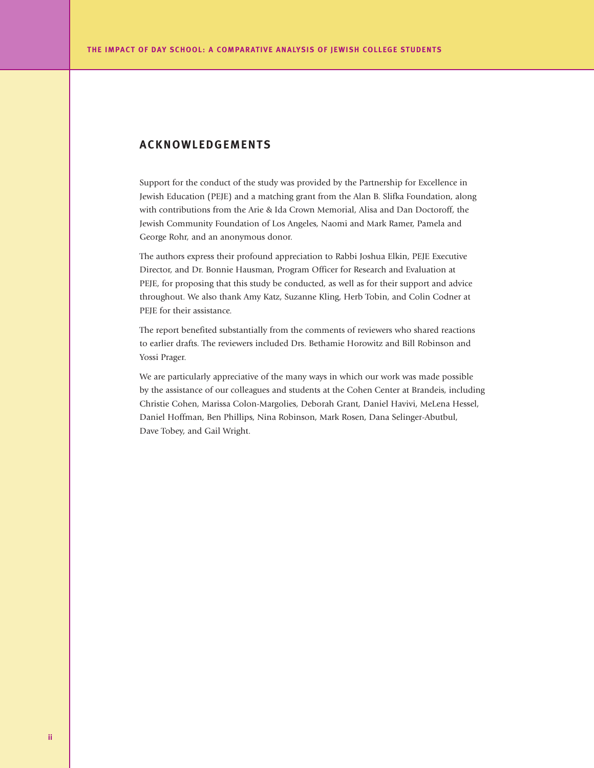#### **ACKNOWLEDGEMENTS**

Support for the conduct of the study was provided by the Partnership for Excellence in Jewish Education (PEJE) and a matching grant from the Alan B. Slifka Foundation, along with contributions from the Arie & Ida Crown Memorial, Alisa and Dan Doctoroff, the Jewish Community Foundation of Los Angeles, Naomi and Mark Ramer, Pamela and George Rohr, and an anonymous donor.

The authors express their profound appreciation to Rabbi Joshua Elkin, PEJE Executive Director, and Dr. Bonnie Hausman, Program Officer for Research and Evaluation at PEJE, for proposing that this study be conducted, as well as for their support and advice throughout. We also thank Amy Katz, Suzanne Kling, Herb Tobin, and Colin Codner at PEJE for their assistance.

The report benefited substantially from the comments of reviewers who shared reactions to earlier drafts. The reviewers included Drs. Bethamie Horowitz and Bill Robinson and Yossi Prager.

We are particularly appreciative of the many ways in which our work was made possible by the assistance of our colleagues and students at the Cohen Center at Brandeis, including Christie Cohen, Marissa Colon-Margolies, Deborah Grant, Daniel Havivi, MeLena Hessel, Daniel Hoffman, Ben Phillips, Nina Robinson, Mark Rosen, Dana Selinger-Abutbul, Dave Tobey, and Gail Wright.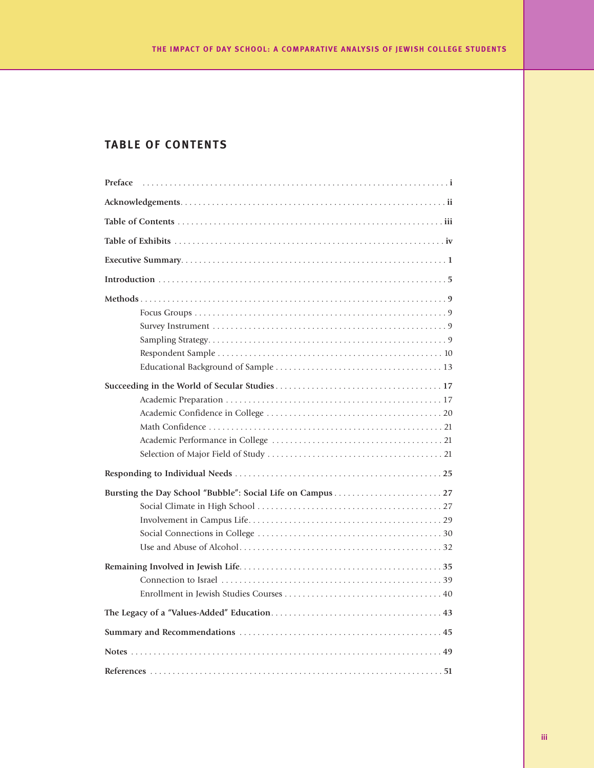#### **TABLE OF CONTENTS**

| Preface |  |  |
|---------|--|--|
|         |  |  |
|         |  |  |
|         |  |  |
|         |  |  |
|         |  |  |
|         |  |  |
|         |  |  |
|         |  |  |
|         |  |  |
|         |  |  |
|         |  |  |
|         |  |  |
|         |  |  |
|         |  |  |
|         |  |  |
|         |  |  |
|         |  |  |
|         |  |  |
|         |  |  |
|         |  |  |
|         |  |  |
|         |  |  |
|         |  |  |
|         |  |  |
|         |  |  |
|         |  |  |
|         |  |  |
|         |  |  |
|         |  |  |
|         |  |  |
|         |  |  |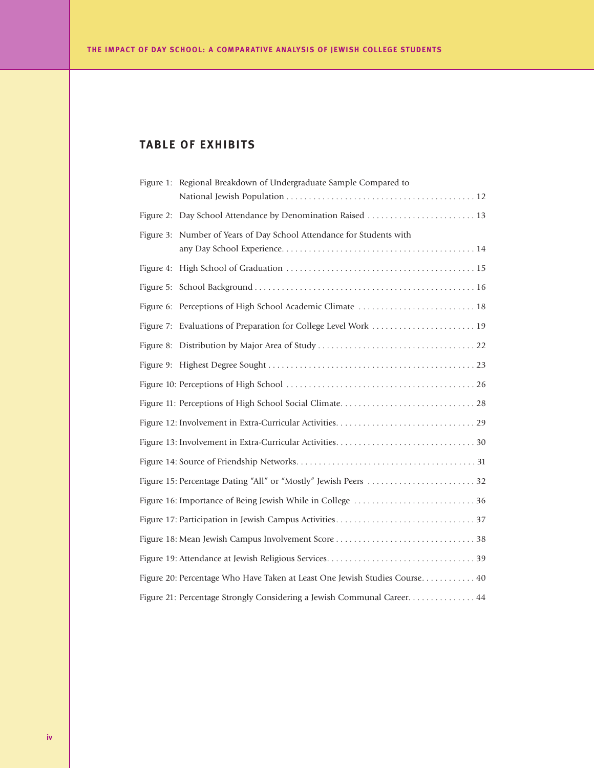#### **TABLE OF EXHIBITS**

|  | Figure 1: Regional Breakdown of Undergraduate Sample Compared to            |
|--|-----------------------------------------------------------------------------|
|  | Figure 2: Day School Attendance by Denomination Raised  13                  |
|  | Figure 3: Number of Years of Day School Attendance for Students with        |
|  |                                                                             |
|  |                                                                             |
|  |                                                                             |
|  |                                                                             |
|  |                                                                             |
|  |                                                                             |
|  |                                                                             |
|  |                                                                             |
|  |                                                                             |
|  |                                                                             |
|  |                                                                             |
|  | Figure 15: Percentage Dating "All" or "Mostly" Jewish Peers 32              |
|  |                                                                             |
|  |                                                                             |
|  |                                                                             |
|  |                                                                             |
|  | Figure 20: Percentage Who Have Taken at Least One Jewish Studies Course. 40 |
|  | Figure 21: Percentage Strongly Considering a Jewish Communal Career. 44     |
|  |                                                                             |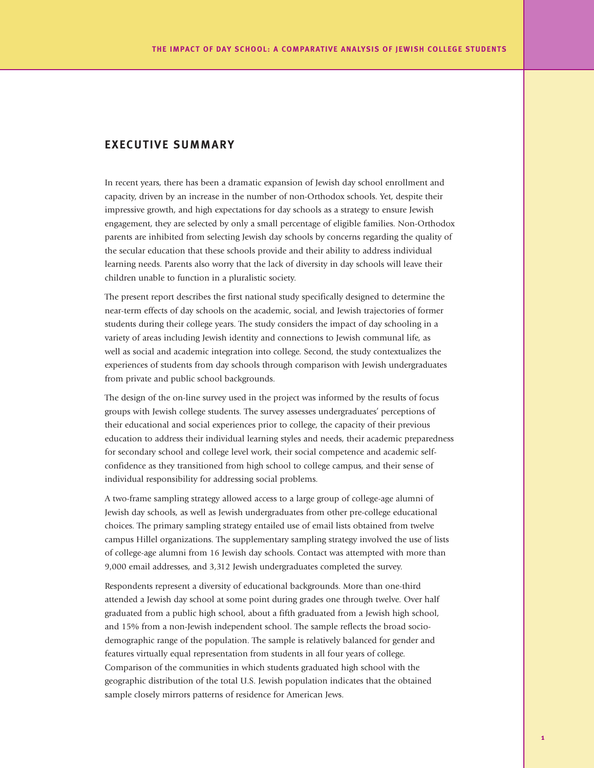#### **EXECUTIVE SUMMARY**

In recent years, there has been a dramatic expansion of Jewish day school enrollment and capacity, driven by an increase in the number of non-Orthodox schools. Yet, despite their impressive growth, and high expectations for day schools as a strategy to ensure Jewish engagement, they are selected by only a small percentage of eligible families. Non-Orthodox parents are inhibited from selecting Jewish day schools by concerns regarding the quality of the secular education that these schools provide and their ability to address individual learning needs. Parents also worry that the lack of diversity in day schools will leave their children unable to function in a pluralistic society.

The present report describes the first national study specifically designed to determine the near-term effects of day schools on the academic, social, and Jewish trajectories of former students during their college years. The study considers the impact of day schooling in a variety of areas including Jewish identity and connections to Jewish communal life, as well as social and academic integration into college. Second, the study contextualizes the experiences of students from day schools through comparison with Jewish undergraduates from private and public school backgrounds.

The design of the on-line survey used in the project was informed by the results of focus groups with Jewish college students. The survey assesses undergraduates' perceptions of their educational and social experiences prior to college, the capacity of their previous education to address their individual learning styles and needs, their academic preparedness for secondary school and college level work, their social competence and academic selfconfidence as they transitioned from high school to college campus, and their sense of individual responsibility for addressing social problems.

A two-frame sampling strategy allowed access to a large group of college-age alumni of Jewish day schools, as well as Jewish undergraduates from other pre-college educational choices. The primary sampling strategy entailed use of email lists obtained from twelve campus Hillel organizations. The supplementary sampling strategy involved the use of lists of college-age alumni from 16 Jewish day schools. Contact was attempted with more than 9,000 email addresses, and 3,312 Jewish undergraduates completed the survey.

Respondents represent a diversity of educational backgrounds. More than one-third attended a Jewish day school at some point during grades one through twelve. Over half graduated from a public high school, about a fifth graduated from a Jewish high school, and 15% from a non-Jewish independent school. The sample reflects the broad sociodemographic range of the population. The sample is relatively balanced for gender and features virtually equal representation from students in all four years of college. Comparison of the communities in which students graduated high school with the geographic distribution of the total U.S. Jewish population indicates that the obtained sample closely mirrors patterns of residence for American Jews.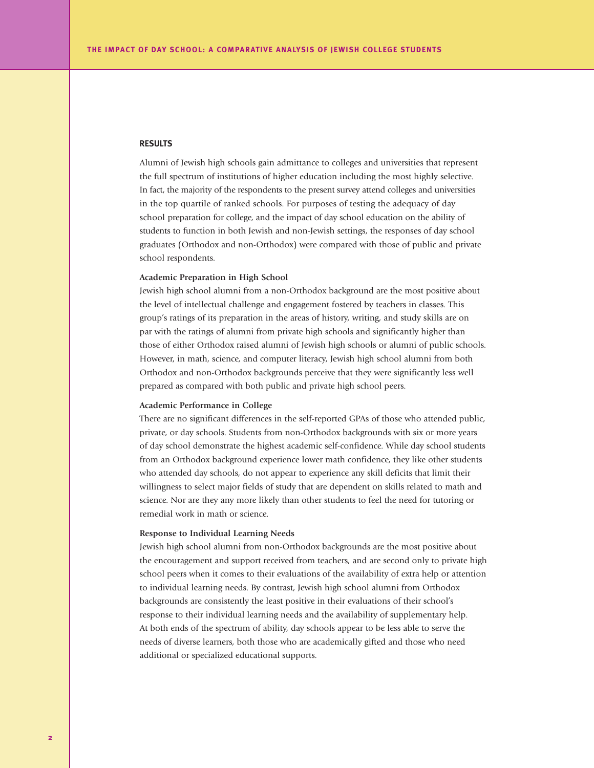#### **RESULTS**

Alumni of Jewish high schools gain admittance to colleges and universities that represent the full spectrum of institutions of higher education including the most highly selective. In fact, the majority of the respondents to the present survey attend colleges and universities in the top quartile of ranked schools. For purposes of testing the adequacy of day school preparation for college, and the impact of day school education on the ability of students to function in both Jewish and non-Jewish settings, the responses of day school graduates (Orthodox and non-Orthodox) were compared with those of public and private school respondents.

#### **Academic Preparation in High School**

Jewish high school alumni from a non-Orthodox background are the most positive about the level of intellectual challenge and engagement fostered by teachers in classes. This group's ratings of its preparation in the areas of history, writing, and study skills are on par with the ratings of alumni from private high schools and significantly higher than those of either Orthodox raised alumni of Jewish high schools or alumni of public schools. However, in math, science, and computer literacy, Jewish high school alumni from both Orthodox and non-Orthodox backgrounds perceive that they were significantly less well prepared as compared with both public and private high school peers.

#### **Academic Performance in College**

There are no significant differences in the self-reported GPAs of those who attended public, private, or day schools. Students from non-Orthodox backgrounds with six or more years of day school demonstrate the highest academic self-confidence. While day school students from an Orthodox background experience lower math confidence, they like other students who attended day schools, do not appear to experience any skill deficits that limit their willingness to select major fields of study that are dependent on skills related to math and science. Nor are they any more likely than other students to feel the need for tutoring or remedial work in math or science.

#### **Response to Individual Learning Needs**

Jewish high school alumni from non-Orthodox backgrounds are the most positive about the encouragement and support received from teachers, and are second only to private high school peers when it comes to their evaluations of the availability of extra help or attention to individual learning needs. By contrast, Jewish high school alumni from Orthodox backgrounds are consistently the least positive in their evaluations of their school's response to their individual learning needs and the availability of supplementary help. At both ends of the spectrum of ability, day schools appear to be less able to serve the needs of diverse learners, both those who are academically gifted and those who need additional or specialized educational supports.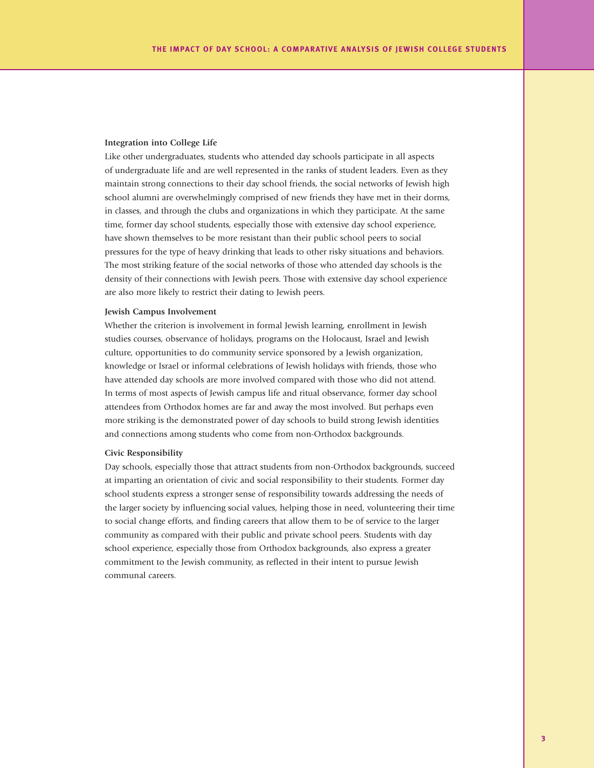#### **Integration into College Life**

Like other undergraduates, students who attended day schools participate in all aspects of undergraduate life and are well represented in the ranks of student leaders. Even as they maintain strong connections to their day school friends, the social networks of Jewish high school alumni are overwhelmingly comprised of new friends they have met in their dorms, in classes, and through the clubs and organizations in which they participate. At the same time, former day school students, especially those with extensive day school experience, have shown themselves to be more resistant than their public school peers to social pressures for the type of heavy drinking that leads to other risky situations and behaviors. The most striking feature of the social networks of those who attended day schools is the density of their connections with Jewish peers. Those with extensive day school experience are also more likely to restrict their dating to Jewish peers.

#### **Jewish Campus Involvement**

Whether the criterion is involvement in formal Jewish learning, enrollment in Jewish studies courses, observance of holidays, programs on the Holocaust, Israel and Jewish culture, opportunities to do community service sponsored by a Jewish organization, knowledge or Israel or informal celebrations of Jewish holidays with friends, those who have attended day schools are more involved compared with those who did not attend. In terms of most aspects of Jewish campus life and ritual observance, former day school attendees from Orthodox homes are far and away the most involved. But perhaps even more striking is the demonstrated power of day schools to build strong Jewish identities and connections among students who come from non-Orthodox backgrounds.

#### **Civic Responsibility**

Day schools, especially those that attract students from non-Orthodox backgrounds, succeed at imparting an orientation of civic and social responsibility to their students. Former day school students express a stronger sense of responsibility towards addressing the needs of the larger society by influencing social values, helping those in need, volunteering their time to social change efforts, and finding careers that allow them to be of service to the larger community as compared with their public and private school peers. Students with day school experience, especially those from Orthodox backgrounds, also express a greater commitment to the Jewish community, as reflected in their intent to pursue Jewish communal careers.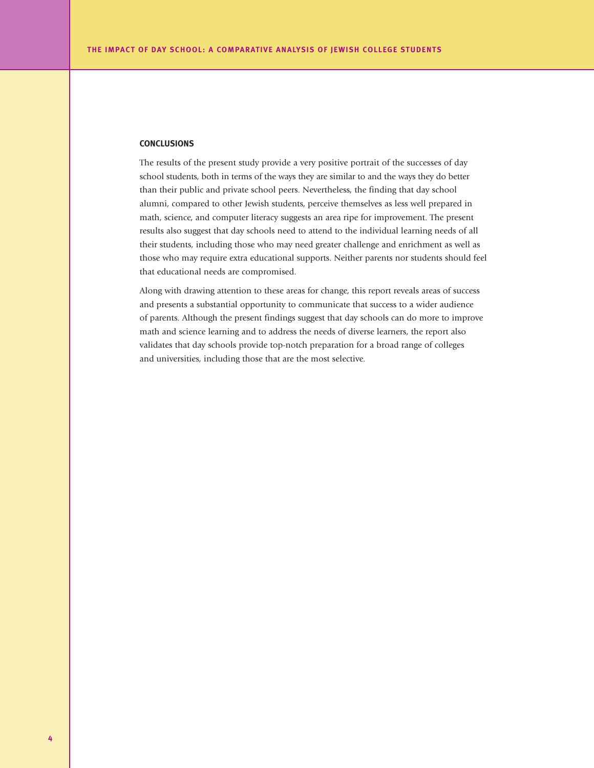#### **CONCLUSIONS**

The results of the present study provide a very positive portrait of the successes of day school students, both in terms of the ways they are similar to and the ways they do better than their public and private school peers. Nevertheless, the finding that day school alumni, compared to other Jewish students, perceive themselves as less well prepared in math, science, and computer literacy suggests an area ripe for improvement. The present results also suggest that day schools need to attend to the individual learning needs of all their students, including those who may need greater challenge and enrichment as well as those who may require extra educational supports. Neither parents nor students should feel that educational needs are compromised.

Along with drawing attention to these areas for change, this report reveals areas of success and presents a substantial opportunity to communicate that success to a wider audience of parents. Although the present findings suggest that day schools can do more to improve math and science learning and to address the needs of diverse learners, the report also validates that day schools provide top-notch preparation for a broad range of colleges and universities, including those that are the most selective.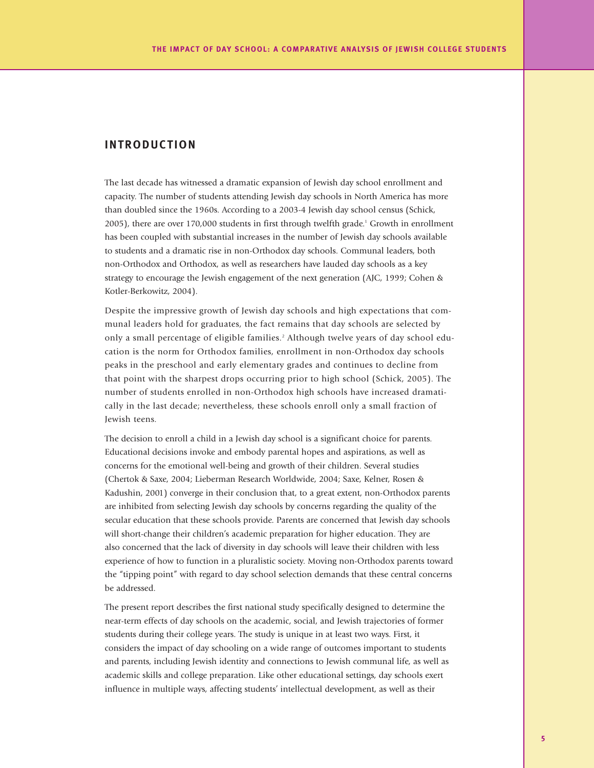#### **INTRODUCTION**

The last decade has witnessed a dramatic expansion of Jewish day school enrollment and capacity. The number of students attending Jewish day schools in North America has more than doubled since the 1960s. According to a 2003-4 Jewish day school census (Schick, 2005), there are over 170,000 students in first through twelfth grade.<sup>1</sup> Growth in enrollment has been coupled with substantial increases in the number of Jewish day schools available to students and a dramatic rise in non-Orthodox day schools. Communal leaders, both non-Orthodox and Orthodox, as well as researchers have lauded day schools as a key strategy to encourage the Jewish engagement of the next generation (AJC, 1999; Cohen & Kotler-Berkowitz, 2004).

Despite the impressive growth of Jewish day schools and high expectations that communal leaders hold for graduates, the fact remains that day schools are selected by only a small percentage of eligible families.2 Although twelve years of day school education is the norm for Orthodox families, enrollment in non-Orthodox day schools peaks in the preschool and early elementary grades and continues to decline from that point with the sharpest drops occurring prior to high school (Schick, 2005). The number of students enrolled in non-Orthodox high schools have increased dramatically in the last decade; nevertheless, these schools enroll only a small fraction of Jewish teens.

The decision to enroll a child in a Jewish day school is a significant choice for parents. Educational decisions invoke and embody parental hopes and aspirations, as well as concerns for the emotional well-being and growth of their children. Several studies (Chertok & Saxe, 2004; Lieberman Research Worldwide, 2004; Saxe, Kelner, Rosen & Kadushin, 2001) converge in their conclusion that, to a great extent, non-Orthodox parents are inhibited from selecting Jewish day schools by concerns regarding the quality of the secular education that these schools provide. Parents are concerned that Jewish day schools will short-change their children's academic preparation for higher education. They are also concerned that the lack of diversity in day schools will leave their children with less experience of how to function in a pluralistic society. Moving non-Orthodox parents toward the "tipping point" with regard to day school selection demands that these central concerns be addressed.

The present report describes the first national study specifically designed to determine the near-term effects of day schools on the academic, social, and Jewish trajectories of former students during their college years. The study is unique in at least two ways. First, it considers the impact of day schooling on a wide range of outcomes important to students and parents, including Jewish identity and connections to Jewish communal life, as well as academic skills and college preparation. Like other educational settings, day schools exert influence in multiple ways, affecting students' intellectual development, as well as their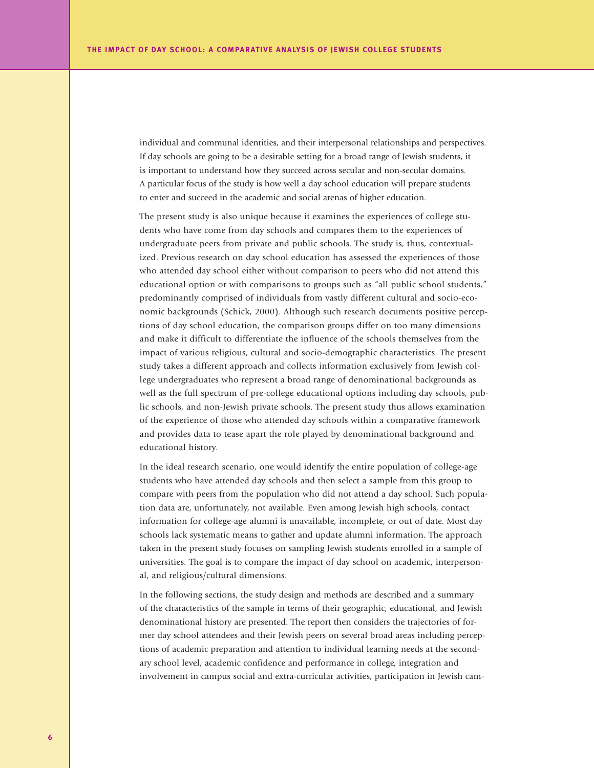individual and communal identities, and their interpersonal relationships and perspectives. If day schools are going to be a desirable setting for a broad range of Jewish students, it is important to understand how they succeed across secular and non-secular domains. A particular focus of the study is how well a day school education will prepare students to enter and succeed in the academic and social arenas of higher education.

The present study is also unique because it examines the experiences of college students who have come from day schools and compares them to the experiences of undergraduate peers from private and public schools. The study is, thus, contextualized. Previous research on day school education has assessed the experiences of those who attended day school either without comparison to peers who did not attend this educational option or with comparisons to groups such as "all public school students," predominantly comprised of individuals from vastly different cultural and socio-economic backgrounds (Schick, 2000). Although such research documents positive perceptions of day school education, the comparison groups differ on too many dimensions and make it difficult to differentiate the influence of the schools themselves from the impact of various religious, cultural and socio-demographic characteristics. The present study takes a different approach and collects information exclusively from Jewish college undergraduates who represent a broad range of denominational backgrounds as well as the full spectrum of pre-college educational options including day schools, public schools, and non-Jewish private schools. The present study thus allows examination of the experience of those who attended day schools within a comparative framework and provides data to tease apart the role played by denominational background and educational history.

In the ideal research scenario, one would identify the entire population of college-age students who have attended day schools and then select a sample from this group to compare with peers from the population who did not attend a day school. Such population data are, unfortunately, not available. Even among Jewish high schools, contact information for college-age alumni is unavailable, incomplete, or out of date. Most day schools lack systematic means to gather and update alumni information. The approach taken in the present study focuses on sampling Jewish students enrolled in a sample of universities. The goal is to compare the impact of day school on academic, interpersonal, and religious/cultural dimensions.

In the following sections, the study design and methods are described and a summary of the characteristics of the sample in terms of their geographic, educational, and Jewish denominational history are presented. The report then considers the trajectories of former day school attendees and their Jewish peers on several broad areas including perceptions of academic preparation and attention to individual learning needs at the secondary school level, academic confidence and performance in college, integration and involvement in campus social and extra-curricular activities, participation in Jewish cam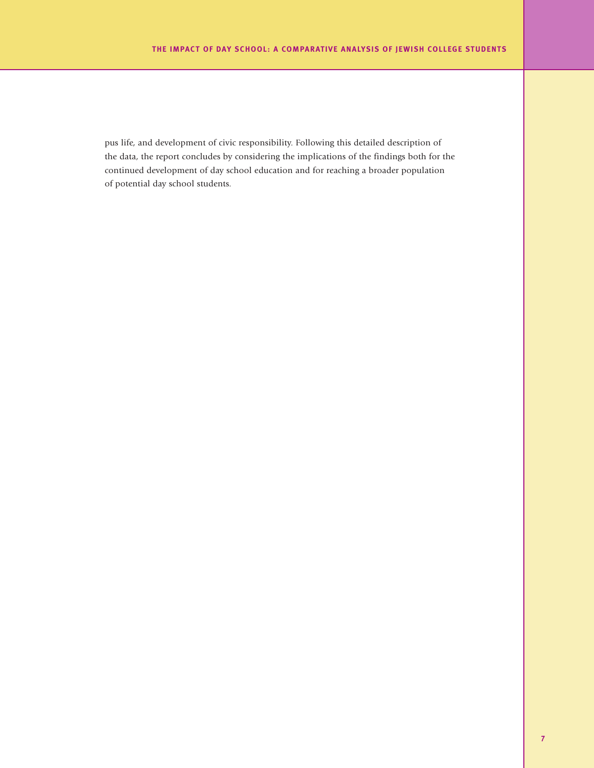pus life, and development of civic responsibility. Following this detailed description of the data, the report concludes by considering the implications of the findings both for the continued development of day school education and for reaching a broader population of potential day school students.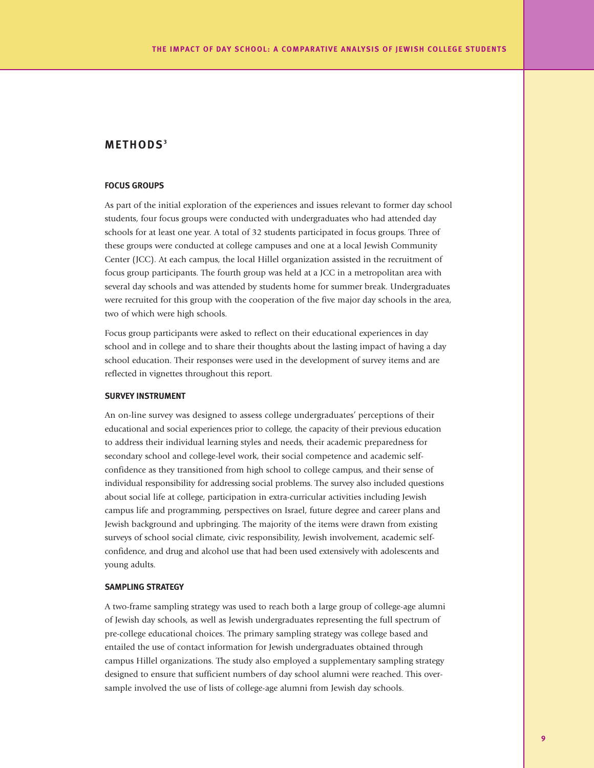#### **METHODS3**

#### **FOCUS GROUPS**

As part of the initial exploration of the experiences and issues relevant to former day school students, four focus groups were conducted with undergraduates who had attended day schools for at least one year. A total of 32 students participated in focus groups. Three of these groups were conducted at college campuses and one at a local Jewish Community Center (JCC). At each campus, the local Hillel organization assisted in the recruitment of focus group participants. The fourth group was held at a JCC in a metropolitan area with several day schools and was attended by students home for summer break. Undergraduates were recruited for this group with the cooperation of the five major day schools in the area, two of which were high schools.

Focus group participants were asked to reflect on their educational experiences in day school and in college and to share their thoughts about the lasting impact of having a day school education. Their responses were used in the development of survey items and are reflected in vignettes throughout this report.

#### **SURVEY INSTRUMENT**

An on-line survey was designed to assess college undergraduates' perceptions of their educational and social experiences prior to college, the capacity of their previous education to address their individual learning styles and needs, their academic preparedness for secondary school and college-level work, their social competence and academic selfconfidence as they transitioned from high school to college campus, and their sense of individual responsibility for addressing social problems. The survey also included questions about social life at college, participation in extra-curricular activities including Jewish campus life and programming, perspectives on Israel, future degree and career plans and Jewish background and upbringing. The majority of the items were drawn from existing surveys of school social climate, civic responsibility, Jewish involvement, academic selfconfidence, and drug and alcohol use that had been used extensively with adolescents and young adults.

#### **SAMPLING STRATEGY**

A two-frame sampling strategy was used to reach both a large group of college-age alumni of Jewish day schools, as well as Jewish undergraduates representing the full spectrum of pre-college educational choices. The primary sampling strategy was college based and entailed the use of contact information for Jewish undergraduates obtained through campus Hillel organizations. The study also employed a supplementary sampling strategy designed to ensure that sufficient numbers of day school alumni were reached. This oversample involved the use of lists of college-age alumni from Jewish day schools.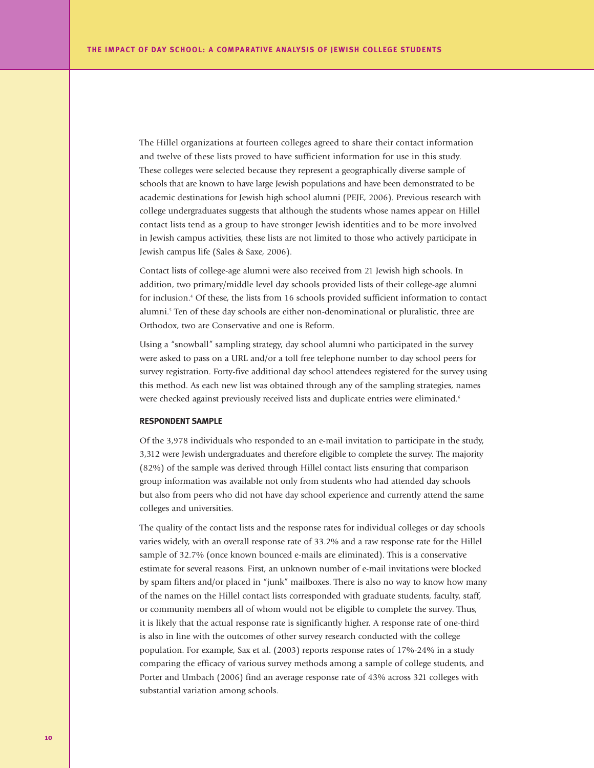The Hillel organizations at fourteen colleges agreed to share their contact information and twelve of these lists proved to have sufficient information for use in this study. These colleges were selected because they represent a geographically diverse sample of schools that are known to have large Jewish populations and have been demonstrated to be academic destinations for Jewish high school alumni (PEJE, 2006). Previous research with college undergraduates suggests that although the students whose names appear on Hillel contact lists tend as a group to have stronger Jewish identities and to be more involved in Jewish campus activities, these lists are not limited to those who actively participate in Jewish campus life (Sales & Saxe, 2006).

Contact lists of college-age alumni were also received from 21 Jewish high schools. In addition, two primary/middle level day schools provided lists of their college-age alumni for inclusion.4 Of these, the lists from 16 schools provided sufficient information to contact alumni.5 Ten of these day schools are either non-denominational or pluralistic, three are Orthodox, two are Conservative and one is Reform.

Using a "snowball" sampling strategy, day school alumni who participated in the survey were asked to pass on a URL and/or a toll free telephone number to day school peers for survey registration. Forty-five additional day school attendees registered for the survey using this method. As each new list was obtained through any of the sampling strategies, names were checked against previously received lists and duplicate entries were eliminated.<sup>6</sup>

#### **RESPONDENT SAMPLE**

Of the 3,978 individuals who responded to an e-mail invitation to participate in the study, 3,312 were Jewish undergraduates and therefore eligible to complete the survey. The majority (82%) of the sample was derived through Hillel contact lists ensuring that comparison group information was available not only from students who had attended day schools but also from peers who did not have day school experience and currently attend the same colleges and universities.

The quality of the contact lists and the response rates for individual colleges or day schools varies widely, with an overall response rate of 33.2% and a raw response rate for the Hillel sample of 32.7% (once known bounced e-mails are eliminated). This is a conservative estimate for several reasons. First, an unknown number of e-mail invitations were blocked by spam filters and/or placed in "junk" mailboxes. There is also no way to know how many of the names on the Hillel contact lists corresponded with graduate students, faculty, staff, or community members all of whom would not be eligible to complete the survey. Thus, it is likely that the actual response rate is significantly higher. A response rate of one-third is also in line with the outcomes of other survey research conducted with the college population. For example, Sax et al. (2003) reports response rates of 17%-24% in a study comparing the efficacy of various survey methods among a sample of college students, and Porter and Umbach (2006) find an average response rate of 43% across 321 colleges with substantial variation among schools.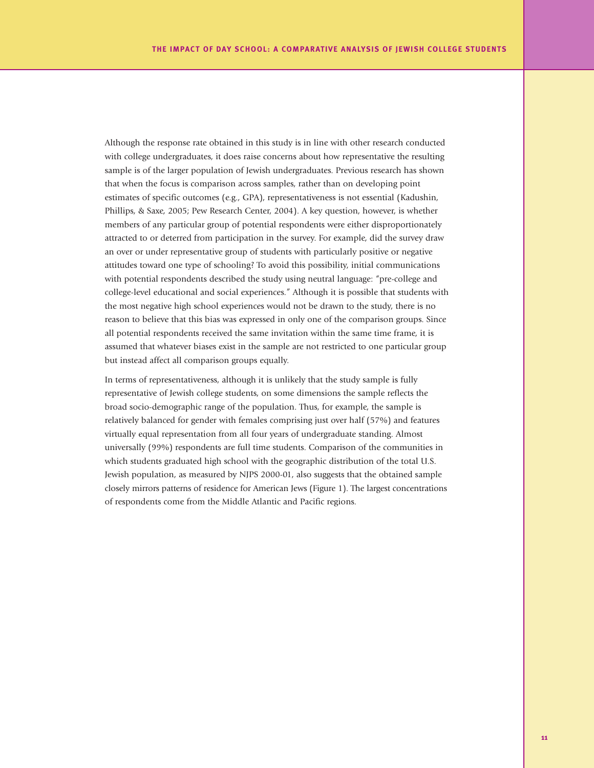Although the response rate obtained in this study is in line with other research conducted with college undergraduates, it does raise concerns about how representative the resulting sample is of the larger population of Jewish undergraduates. Previous research has shown that when the focus is comparison across samples, rather than on developing point estimates of specific outcomes (e.g., GPA), representativeness is not essential (Kadushin, Phillips, & Saxe, 2005; Pew Research Center, 2004). A key question, however, is whether members of any particular group of potential respondents were either disproportionately attracted to or deterred from participation in the survey. For example, did the survey draw an over or under representative group of students with particularly positive or negative attitudes toward one type of schooling? To avoid this possibility, initial communications with potential respondents described the study using neutral language: "pre-college and college-level educational and social experiences." Although it is possible that students with the most negative high school experiences would not be drawn to the study, there is no reason to believe that this bias was expressed in only one of the comparison groups. Since all potential respondents received the same invitation within the same time frame, it is assumed that whatever biases exist in the sample are not restricted to one particular group but instead affect all comparison groups equally.

In terms of representativeness, although it is unlikely that the study sample is fully representative of Jewish college students, on some dimensions the sample reflects the broad socio-demographic range of the population. Thus, for example, the sample is relatively balanced for gender with females comprising just over half (57%) and features virtually equal representation from all four years of undergraduate standing. Almost universally (99%) respondents are full time students. Comparison of the communities in which students graduated high school with the geographic distribution of the total U.S. Jewish population, as measured by NJPS 2000-01, also suggests that the obtained sample closely mirrors patterns of residence for American Jews (Figure 1). The largest concentrations of respondents come from the Middle Atlantic and Pacific regions.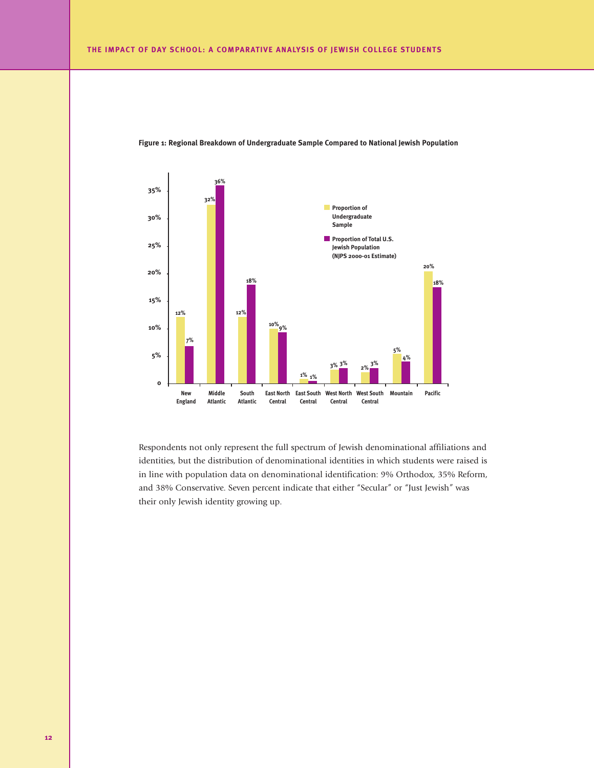

**Figure 1: Regional Breakdown of Undergraduate Sample Compared to National Jewish Population**

Respondents not only represent the full spectrum of Jewish denominational affiliations and identities, but the distribution of denominational identities in which students were raised is in line with population data on denominational identification: 9% Orthodox, 35% Reform, and 38% Conservative. Seven percent indicate that either "Secular" or "Just Jewish" was their only Jewish identity growing up.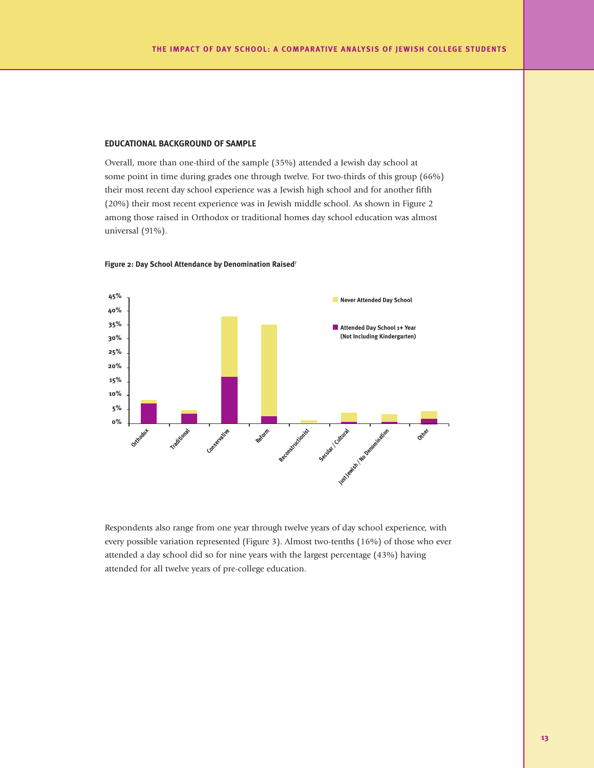#### **EDUCATIONAL BACKGROUND OF SAMPLE**

Overall, more than one-third of the sample (35%) attended a Jewish day school at some point in time during grades one through twelve. For two-thirds of this group (66%) their most recent day school experience was a Jewish high school and for another fifth (20%) their most recent experience was in Jewish middle school. As shown in Figure 2 among those raised in Orthodox or traditional homes day school education was almost universal (91%).





Respondents also range from one year through twelve years of day school experience, with every possible variation represented (Figure 3). Almost two-tenths (16%) of those who ever attended a day school did so for nine years with the largest percentage (43%) having attended for all twelve years of pre-college education.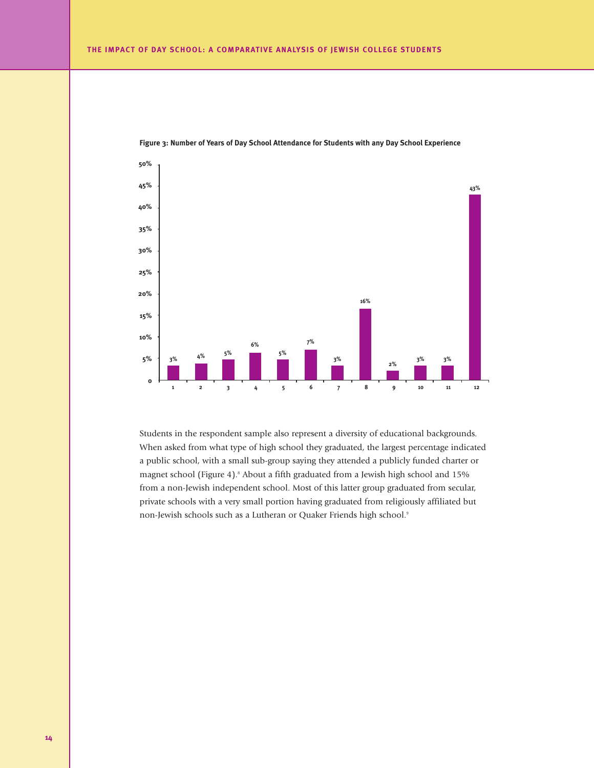

**Figure 3: Number of Years of Day School Attendance for Students with any Day School Experience**

Students in the respondent sample also represent a diversity of educational backgrounds. When asked from what type of high school they graduated, the largest percentage indicated a public school, with a small sub-group saying they attended a publicly funded charter or magnet school (Figure 4).<sup>8</sup> About a fifth graduated from a Jewish high school and 15% from a non-Jewish independent school. Most of this latter group graduated from secular, private schools with a very small portion having graduated from religiously affiliated but non-Jewish schools such as a Lutheran or Quaker Friends high school.9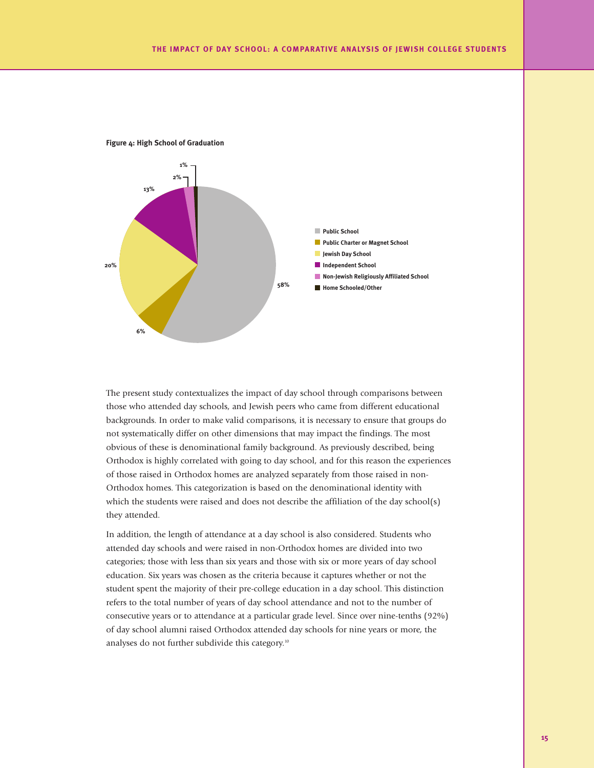

**Figure 4: High School of Graduation**

The present study contextualizes the impact of day school through comparisons between those who attended day schools, and Jewish peers who came from different educational backgrounds. In order to make valid comparisons, it is necessary to ensure that groups do not systematically differ on other dimensions that may impact the findings. The most obvious of these is denominational family background. As previously described, being Orthodox is highly correlated with going to day school, and for this reason the experiences of those raised in Orthodox homes are analyzed separately from those raised in non-Orthodox homes. This categorization is based on the denominational identity with which the students were raised and does not describe the affiliation of the day school(s) they attended.

In addition, the length of attendance at a day school is also considered. Students who attended day schools and were raised in non-Orthodox homes are divided into two categories; those with less than six years and those with six or more years of day school education. Six years was chosen as the criteria because it captures whether or not the student spent the majority of their pre-college education in a day school. This distinction refers to the total number of years of day school attendance and not to the number of consecutive years or to attendance at a particular grade level. Since over nine-tenths (92%) of day school alumni raised Orthodox attended day schools for nine years or more, the analyses do not further subdivide this category.<sup>10</sup>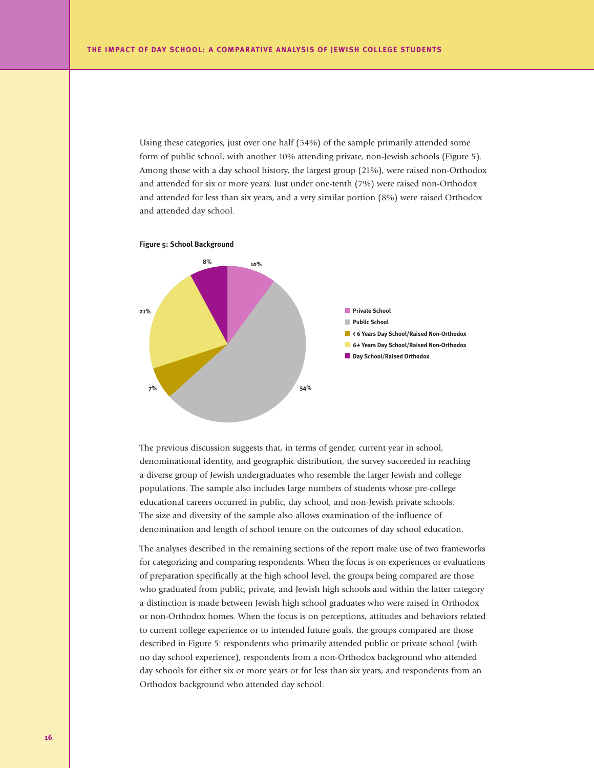Using these categories, just over one half (54%) of the sample primarily attended some form of public school, with another 10% attending private, non-Jewish schools (Figure 5). Among those with a day school history, the largest group (21%), were raised non-Orthodox and attended for six or more years. Just under one-tenth (7%) were raised non-Orthodox and attended for less than six years, and a very similar portion (8%) were raised Orthodox and attended day school.



The previous discussion suggests that, in terms of gender, current year in school, denominational identity, and geographic distribution, the survey succeeded in reaching a diverse group of Jewish undergraduates who resemble the larger Jewish and college populations. The sample also includes large numbers of students whose pre-college educational careers occurred in public, day school, and non-Jewish private schools. The size and diversity of the sample also allows examination of the influence of denomination and length of school tenure on the outcomes of day school education.

The analyses described in the remaining sections of the report make use of two frameworks for categorizing and comparing respondents. When the focus is on experiences or evaluations of preparation specifically at the high school level, the groups being compared are those who graduated from public, private, and Jewish high schools and within the latter category a distinction is made between Jewish high school graduates who were raised in Orthodox or non-Orthodox homes. When the focus is on perceptions, attitudes and behaviors related to current college experience or to intended future goals, the groups compared are those described in Figure 5: respondents who primarily attended public or private school (with no day school experience), respondents from a non-Orthodox background who attended day schools for either six or more years or for less than six years, and respondents from an Orthodox background who attended day school.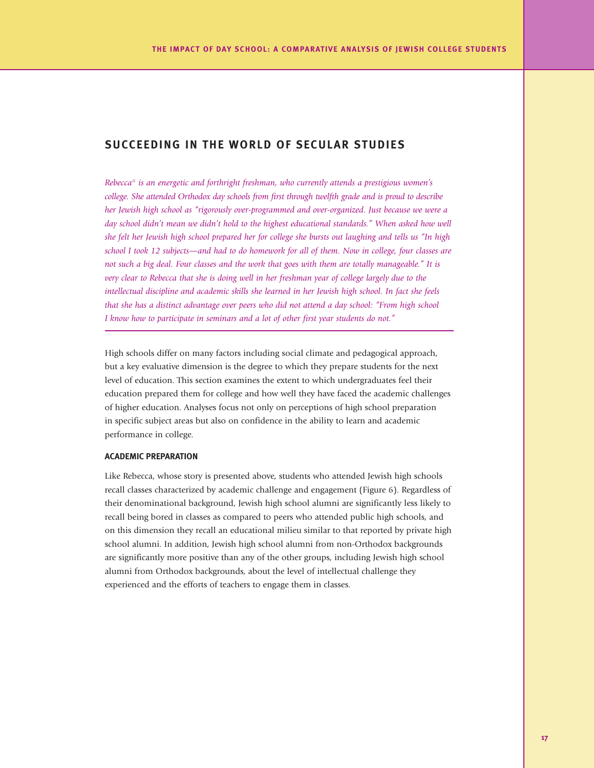#### **SUCCEEDING IN THE WORLD OF SECULAR STUDIES**

*Rebecca11 is an energetic and forthright freshman, who currently attends a prestigious women's college. She attended Orthodox day schools from first through twelfth grade and is proud to describe her Jewish high school as "rigorously over-programmed and over-organized. Just because we were a day school didn't mean we didn't hold to the highest educational standards." When asked how well she felt her Jewish high school prepared her for college she bursts out laughing and tells us "In high school I took 12 subjects—and had to do homework for all of them. Now in college, four classes are not such a big deal. Four classes and the work that goes with them are totally manageable." It is very clear to Rebecca that she is doing well in her freshman year of college largely due to the intellectual discipline and academic skills she learned in her Jewish high school. In fact she feels that she has a distinct advantage over peers who did not attend a day school: "From high school I know how to participate in seminars and a lot of other first year students do not."*

High schools differ on many factors including social climate and pedagogical approach, but a key evaluative dimension is the degree to which they prepare students for the next level of education. This section examines the extent to which undergraduates feel their education prepared them for college and how well they have faced the academic challenges of higher education. Analyses focus not only on perceptions of high school preparation in specific subject areas but also on confidence in the ability to learn and academic performance in college.

#### **ACADEMIC PREPARATION**

Like Rebecca, whose story is presented above, students who attended Jewish high schools recall classes characterized by academic challenge and engagement (Figure 6). Regardless of their denominational background, Jewish high school alumni are significantly less likely to recall being bored in classes as compared to peers who attended public high schools, and on this dimension they recall an educational milieu similar to that reported by private high school alumni. In addition, Jewish high school alumni from non-Orthodox backgrounds are significantly more positive than any of the other groups, including Jewish high school alumni from Orthodox backgrounds, about the level of intellectual challenge they experienced and the efforts of teachers to engage them in classes.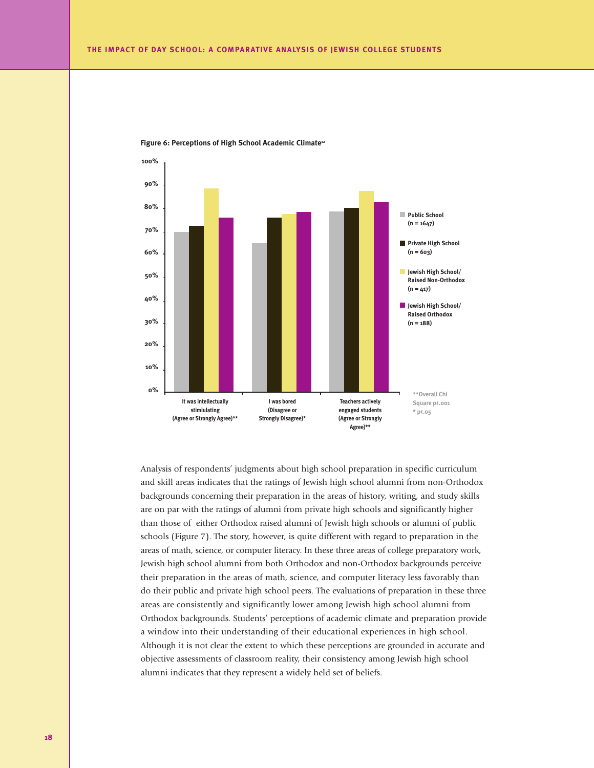

Figure 6: Perceptions of High School Academic Climate<sup>12</sup>

Analysis of respondents' judgments about high school preparation in specific curriculum and skill areas indicates that the ratings of Jewish high school alumni from non-Orthodox backgrounds concerning their preparation in the areas of history, writing, and study skills are on par with the ratings of alumni from private high schools and significantly higher than those of either Orthodox raised alumni of Jewish high schools or alumni of public schools (Figure 7). The story, however, is quite different with regard to preparation in the areas of math, science, or computer literacy. In these three areas of college preparatory work, Jewish high school alumni from both Orthodox and non-Orthodox backgrounds perceive their preparation in the areas of math, science, and computer literacy less favorably than do their public and private high school peers. The evaluations of preparation in these three areas are consistently and significantly lower among Jewish high school alumni from Orthodox backgrounds. Students' perceptions of academic climate and preparation provide a window into their understanding of their educational experiences in high school. Although it is not clear the extent to which these perceptions are grounded in accurate and objective assessments of classroom reality, their consistency among Jewish high school alumni indicates that they represent a widely held set of beliefs.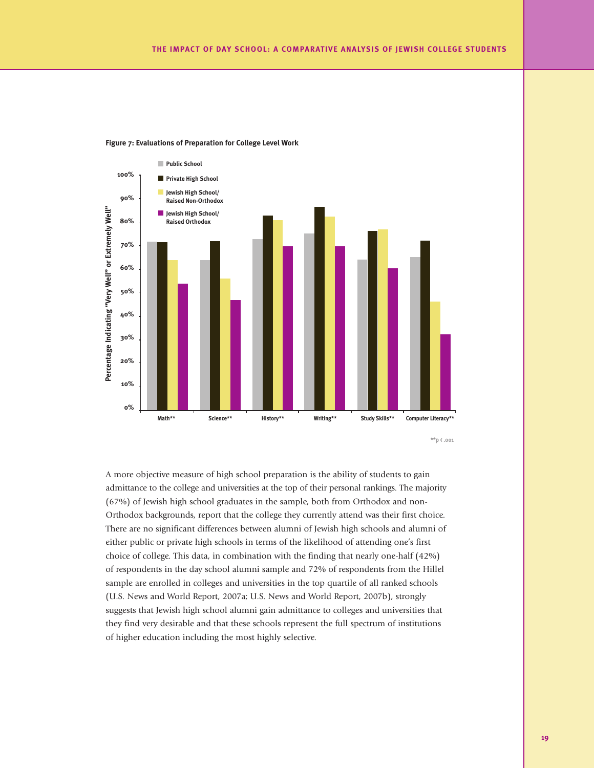

**Figure 7: Evaluations of Preparation for College Level Work**

A more objective measure of high school preparation is the ability of students to gain admittance to the college and universities at the top of their personal rankings. The majority (67%) of Jewish high school graduates in the sample, both from Orthodox and non-Orthodox backgrounds, report that the college they currently attend was their first choice. There are no significant differences between alumni of Jewish high schools and alumni of either public or private high schools in terms of the likelihood of attending one's first choice of college. This data, in combination with the finding that nearly one-half (42%) of respondents in the day school alumni sample and 72% of respondents from the Hillel sample are enrolled in colleges and universities in the top quartile of all ranked schools (U.S. News and World Report, 2007a; U.S. News and World Report, 2007b), strongly suggests that Jewish high school alumni gain admittance to colleges and universities that they find very desirable and that these schools represent the full spectrum of institutions of higher education including the most highly selective.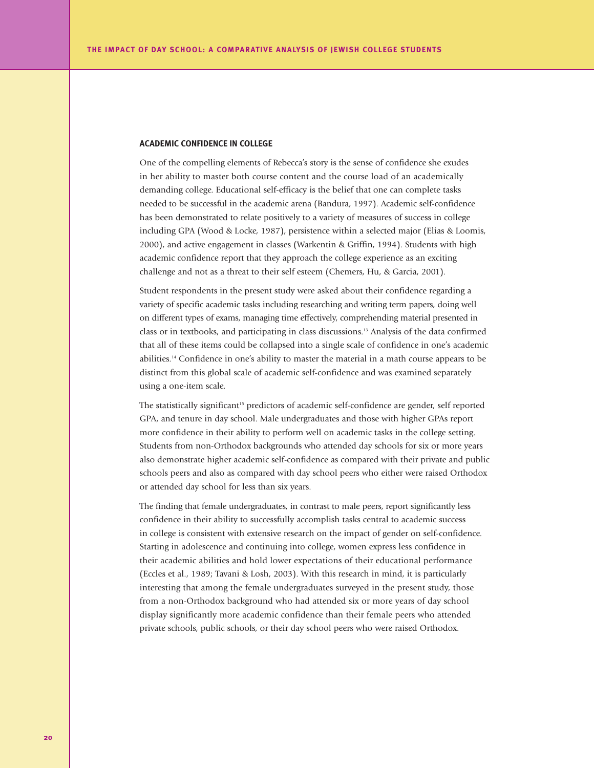#### **ACADEMIC CONFIDENCE IN COLLEGE**

One of the compelling elements of Rebecca's story is the sense of confidence she exudes in her ability to master both course content and the course load of an academically demanding college. Educational self-efficacy is the belief that one can complete tasks needed to be successful in the academic arena (Bandura, 1997). Academic self-confidence has been demonstrated to relate positively to a variety of measures of success in college including GPA (Wood & Locke, 1987), persistence within a selected major (Elias & Loomis, 2000), and active engagement in classes (Warkentin & Griffin, 1994). Students with high academic confidence report that they approach the college experience as an exciting challenge and not as a threat to their self esteem (Chemers, Hu, & Garcia, 2001).

Student respondents in the present study were asked about their confidence regarding a variety of specific academic tasks including researching and writing term papers, doing well on different types of exams, managing time effectively, comprehending material presented in class or in textbooks, and participating in class discussions.13 Analysis of the data confirmed that all of these items could be collapsed into a single scale of confidence in one's academic abilities.14 Confidence in one's ability to master the material in a math course appears to be distinct from this global scale of academic self-confidence and was examined separately using a one-item scale.

The statistically significant<sup>15</sup> predictors of academic self-confidence are gender, self reported GPA, and tenure in day school. Male undergraduates and those with higher GPAs report more confidence in their ability to perform well on academic tasks in the college setting. Students from non-Orthodox backgrounds who attended day schools for six or more years also demonstrate higher academic self-confidence as compared with their private and public schools peers and also as compared with day school peers who either were raised Orthodox or attended day school for less than six years.

The finding that female undergraduates, in contrast to male peers, report significantly less confidence in their ability to successfully accomplish tasks central to academic success in college is consistent with extensive research on the impact of gender on self-confidence. Starting in adolescence and continuing into college, women express less confidence in their academic abilities and hold lower expectations of their educational performance (Eccles et al., 1989; Tavani & Losh, 2003). With this research in mind, it is particularly interesting that among the female undergraduates surveyed in the present study, those from a non-Orthodox background who had attended six or more years of day school display significantly more academic confidence than their female peers who attended private schools, public schools, or their day school peers who were raised Orthodox.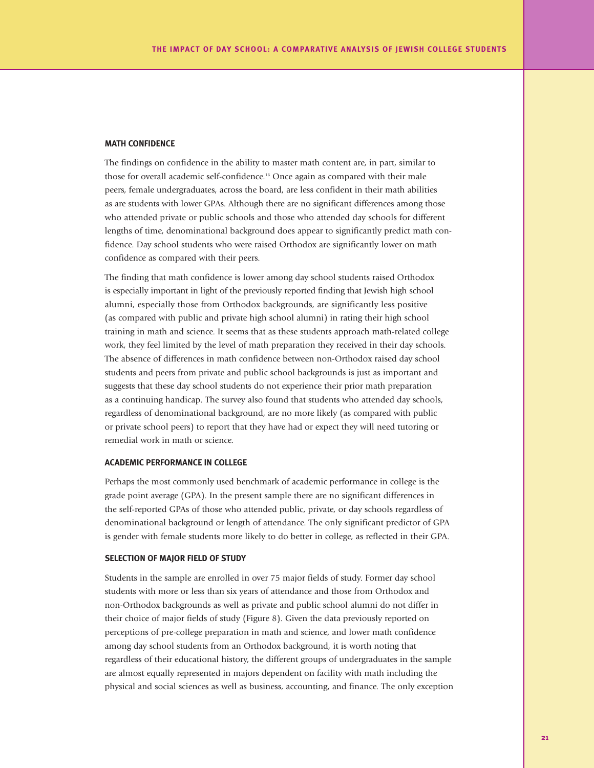#### **MATH CONFIDENCE**

The findings on confidence in the ability to master math content are, in part, similar to those for overall academic self-confidence.16 Once again as compared with their male peers, female undergraduates, across the board, are less confident in their math abilities as are students with lower GPAs. Although there are no significant differences among those who attended private or public schools and those who attended day schools for different lengths of time, denominational background does appear to significantly predict math confidence. Day school students who were raised Orthodox are significantly lower on math confidence as compared with their peers.

The finding that math confidence is lower among day school students raised Orthodox is especially important in light of the previously reported finding that Jewish high school alumni, especially those from Orthodox backgrounds, are significantly less positive (as compared with public and private high school alumni) in rating their high school training in math and science. It seems that as these students approach math-related college work, they feel limited by the level of math preparation they received in their day schools. The absence of differences in math confidence between non-Orthodox raised day school students and peers from private and public school backgrounds is just as important and suggests that these day school students do not experience their prior math preparation as a continuing handicap. The survey also found that students who attended day schools, regardless of denominational background, are no more likely (as compared with public or private school peers) to report that they have had or expect they will need tutoring or remedial work in math or science.

#### **ACADEMIC PERFORMANCE IN COLLEGE**

Perhaps the most commonly used benchmark of academic performance in college is the grade point average (GPA). In the present sample there are no significant differences in the self-reported GPAs of those who attended public, private, or day schools regardless of denominational background or length of attendance. The only significant predictor of GPA is gender with female students more likely to do better in college, as reflected in their GPA.

#### **SELECTION OF MAJOR FIELD OF STUDY**

Students in the sample are enrolled in over 75 major fields of study. Former day school students with more or less than six years of attendance and those from Orthodox and non-Orthodox backgrounds as well as private and public school alumni do not differ in their choice of major fields of study (Figure 8). Given the data previously reported on perceptions of pre-college preparation in math and science, and lower math confidence among day school students from an Orthodox background, it is worth noting that regardless of their educational history, the different groups of undergraduates in the sample are almost equally represented in majors dependent on facility with math including the physical and social sciences as well as business, accounting, and finance. The only exception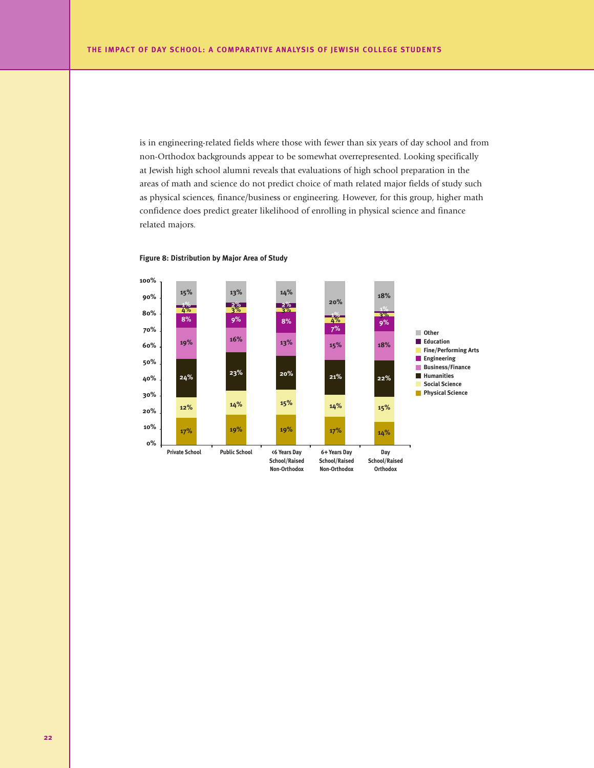is in engineering-related fields where those with fewer than six years of day school and from non-Orthodox backgrounds appear to be somewhat overrepresented. Looking specifically at Jewish high school alumni reveals that evaluations of high school preparation in the areas of math and science do not predict choice of math related major fields of study such as physical sciences, finance/business or engineering. However, for this group, higher math confidence does predict greater likelihood of enrolling in physical science and finance related majors.



**Figure 8: Distribution by Major Area of Study**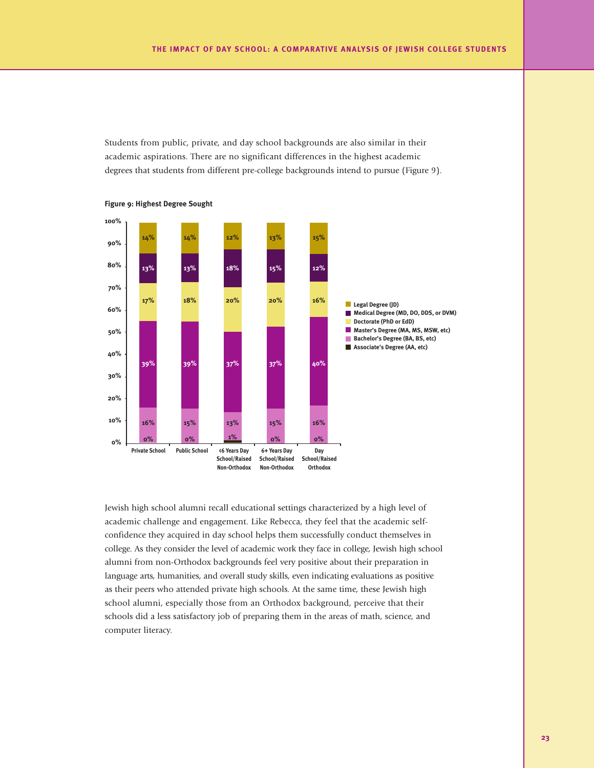Students from public, private, and day school backgrounds are also similar in their academic aspirations. There are no significant differences in the highest academic degrees that students from different pre-college backgrounds intend to pursue (Figure 9).





Jewish high school alumni recall educational settings characterized by a high level of academic challenge and engagement. Like Rebecca, they feel that the academic selfconfidence they acquired in day school helps them successfully conduct themselves in college. As they consider the level of academic work they face in college, Jewish high school alumni from non-Orthodox backgrounds feel very positive about their preparation in language arts, humanities, and overall study skills, even indicating evaluations as positive as their peers who attended private high schools. At the same time, these Jewish high school alumni, especially those from an Orthodox background, perceive that their schools did a less satisfactory job of preparing them in the areas of math, science, and computer literacy.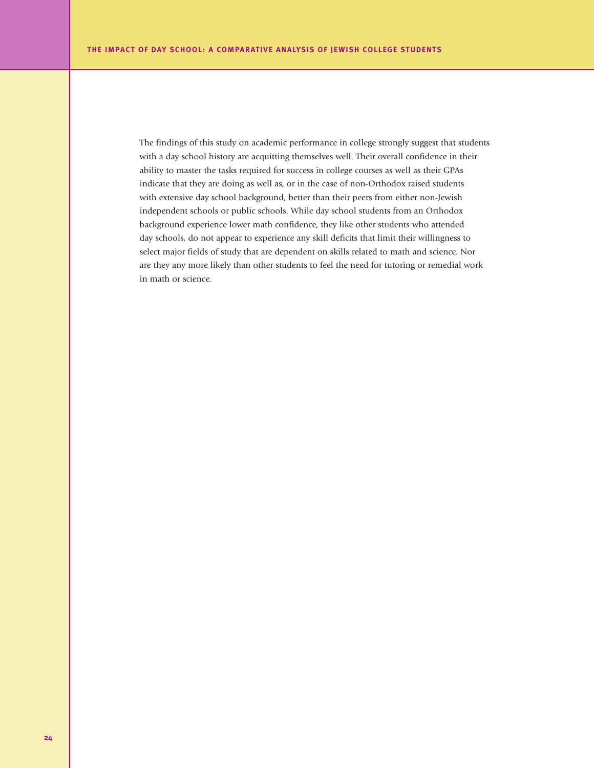The findings of this study on academic performance in college strongly suggest that students with a day school history are acquitting themselves well. Their overall confidence in their ability to master the tasks required for success in college courses as well as their GPAs indicate that they are doing as well as, or in the case of non-Orthodox raised students with extensive day school background, better than their peers from either non-Jewish independent schools or public schools. While day school students from an Orthodox background experience lower math confidence, they like other students who attended day schools, do not appear to experience any skill deficits that limit their willingness to select major fields of study that are dependent on skills related to math and science. Nor are they any more likely than other students to feel the need for tutoring or remedial work in math or science.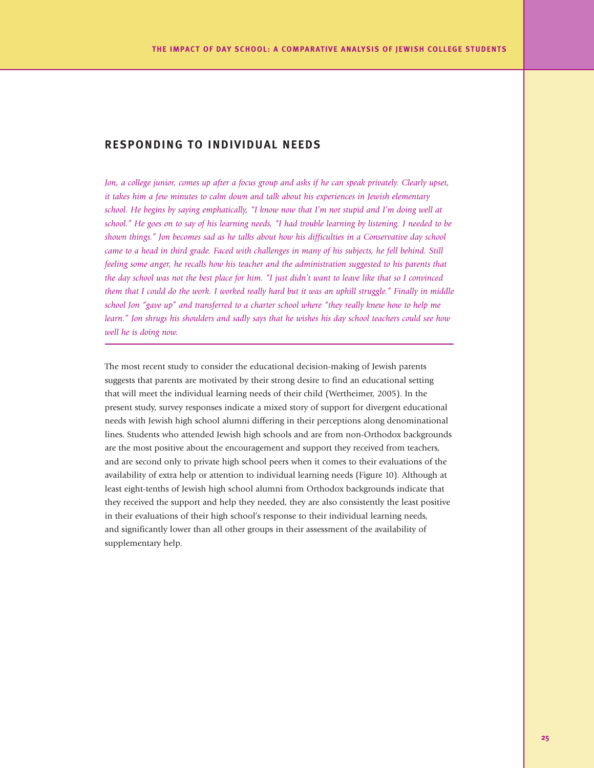#### **RESPONDING TO INDIVIDUAL NEEDS**

*Jon, a college junior, comes up after a focus group and asks if he can speak privately. Clearly upset, it takes him a few minutes to calm down and talk about his experiences in Jewish elementary school. He begins by saying emphatically, "I know now that I'm not stupid and I'm doing well at school." He goes on to say of his learning needs, "I had trouble learning by listening. I needed to be shown things." Jon becomes sad as he talks about how his difficulties in a Conservative day school came to a head in third grade. Faced with challenges in many of his subjects, he fell behind. Still feeling some anger, he recalls how his teacher and the administration suggested to his parents that the day school was not the best place for him. "I just didn't want to leave like that so I convinced them that I could do the work. I worked really hard but it was an uphill struggle." Finally in middle school Jon "gave up" and transferred to a charter school where "they really knew how to help me learn." Jon shrugs his shoulders and sadly says that he wishes his day school teachers could see how well he is doing now.*

The most recent study to consider the educational decision-making of Jewish parents suggests that parents are motivated by their strong desire to find an educational setting that will meet the individual learning needs of their child (Wertheimer, 2005). In the present study, survey responses indicate a mixed story of support for divergent educational needs with Jewish high school alumni differing in their perceptions along denominational lines. Students who attended Jewish high schools and are from non-Orthodox backgrounds are the most positive about the encouragement and support they received from teachers, and are second only to private high school peers when it comes to their evaluations of the availability of extra help or attention to individual learning needs (Figure 10). Although at least eight-tenths of Jewish high school alumni from Orthodox backgrounds indicate that they received the support and help they needed, they are also consistently the least positive in their evaluations of their high school's response to their individual learning needs, and significantly lower than all other groups in their assessment of the availability of supplementary help.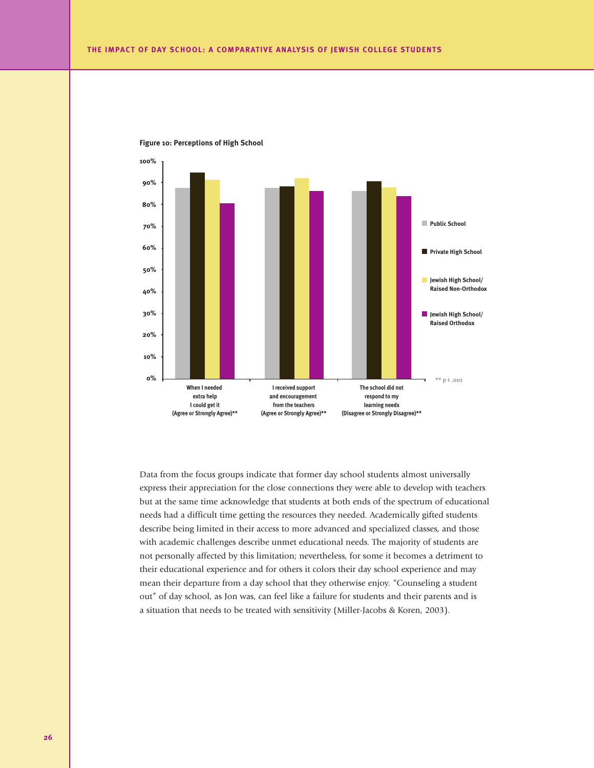

**Figure 10: Perceptions of High School**

Data from the focus groups indicate that former day school students almost universally express their appreciation for the close connections they were able to develop with teachers but at the same time acknowledge that students at both ends of the spectrum of educational needs had a difficult time getting the resources they needed. Academically gifted students describe being limited in their access to more advanced and specialized classes, and those with academic challenges describe unmet educational needs. The majority of students are not personally affected by this limitation; nevertheless, for some it becomes a detriment to their educational experience and for others it colors their day school experience and may mean their departure from a day school that they otherwise enjoy. "Counseling a student out" of day school, as Jon was, can feel like a failure for students and their parents and is a situation that needs to be treated with sensitivity (Miller-Jacobs & Koren, 2003).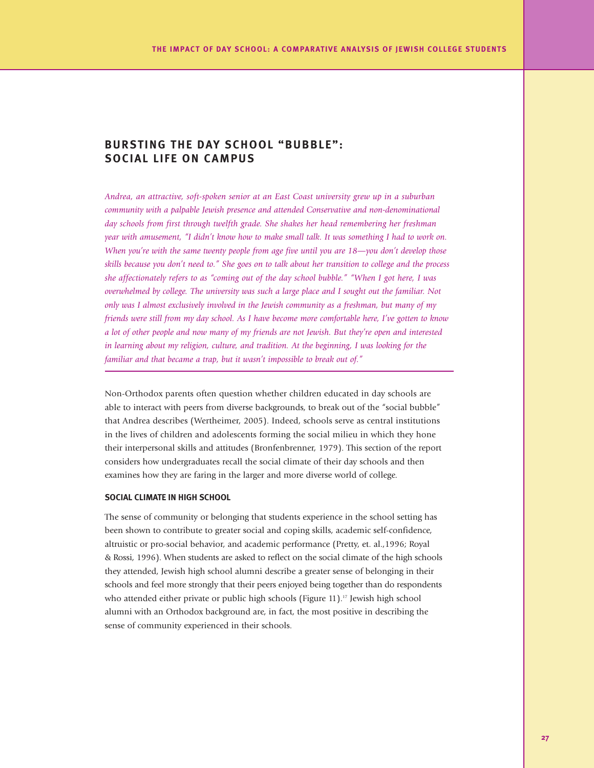#### **BURSTING THE DAY SCHOOL "BUBBLE": SOCIAL LIFE ON CAMPUS**

*Andrea, an attractive, soft-spoken senior at an East Coast university grew up in a suburban community with a palpable Jewish presence and attended Conservative and non-denominational day schools from first through twelfth grade. She shakes her head remembering her freshman year with amusement, "I didn't know how to make small talk. It was something I had to work on. When you're with the same twenty people from age five until you are 18—you don't develop those skills because you don't need to." She goes on to talk about her transition to college and the process she affectionately refers to as "coming out of the day school bubble." "When I got here, I was overwhelmed by college. The university was such a large place and I sought out the familiar. Not only was I almost exclusively involved in the Jewish community as a freshman, but many of my friends were still from my day school. As I have become more comfortable here, I've gotten to know a lot of other people and now many of my friends are not Jewish. But they're open and interested in learning about my religion, culture, and tradition. At the beginning, I was looking for the familiar and that became a trap, but it wasn't impossible to break out of."*

Non-Orthodox parents often question whether children educated in day schools are able to interact with peers from diverse backgrounds, to break out of the "social bubble" that Andrea describes (Wertheimer, 2005). Indeed, schools serve as central institutions in the lives of children and adolescents forming the social milieu in which they hone their interpersonal skills and attitudes (Bronfenbrenner, 1979). This section of the report considers how undergraduates recall the social climate of their day schools and then examines how they are faring in the larger and more diverse world of college.

#### **SOCIAL CLIMATE IN HIGH SCHOOL**

The sense of community or belonging that students experience in the school setting has been shown to contribute to greater social and coping skills, academic self-confidence, altruistic or pro-social behavior, and academic performance (Pretty, et. al.,1996; Royal & Rossi, 1996). When students are asked to reflect on the social climate of the high schools they attended, Jewish high school alumni describe a greater sense of belonging in their schools and feel more strongly that their peers enjoyed being together than do respondents who attended either private or public high schools (Figure 11).<sup>17</sup> Jewish high school alumni with an Orthodox background are, in fact, the most positive in describing the sense of community experienced in their schools.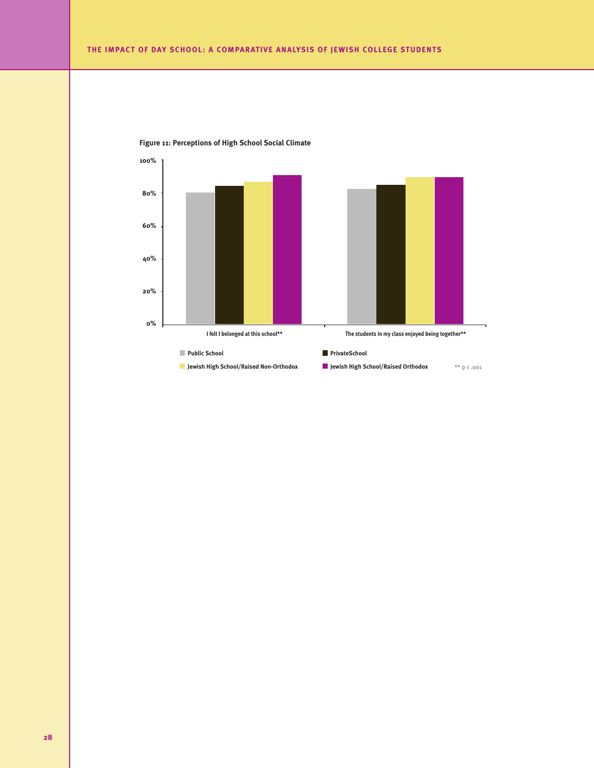

**Figure 11: Perceptions of High School Social Climate**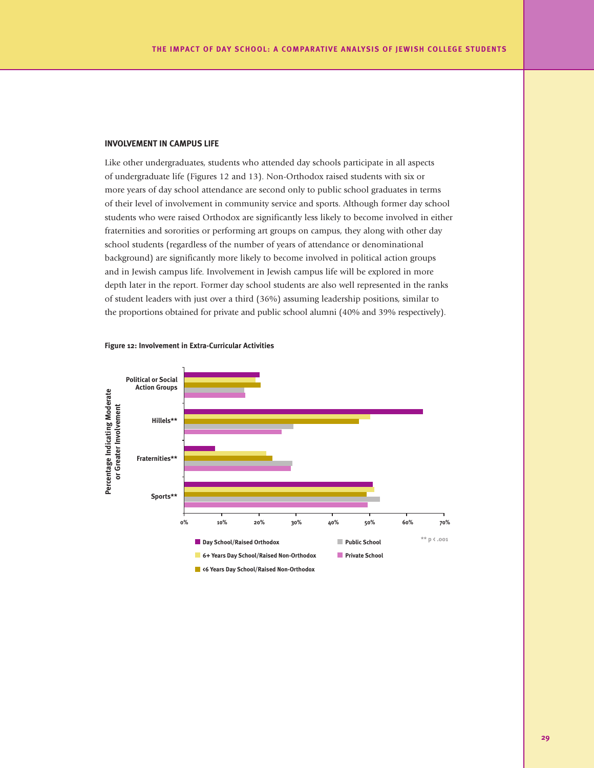#### **INVOLVEMENT IN CAMPUS LIFE**

Like other undergraduates, students who attended day schools participate in all aspects of undergraduate life (Figures 12 and 13). Non-Orthodox raised students with six or more years of day school attendance are second only to public school graduates in terms of their level of involvement in community service and sports. Although former day school students who were raised Orthodox are significantly less likely to become involved in either fraternities and sororities or performing art groups on campus, they along with other day school students (regardless of the number of years of attendance or denominational background) are significantly more likely to become involved in political action groups and in Jewish campus life. Involvement in Jewish campus life will be explored in more depth later in the report. Former day school students are also well represented in the ranks of student leaders with just over a third (36%) assuming leadership positions, similar to the proportions obtained for private and public school alumni (40% and 39% respectively).



#### **Figure 12: Involvement in Extra-Curricular Activities**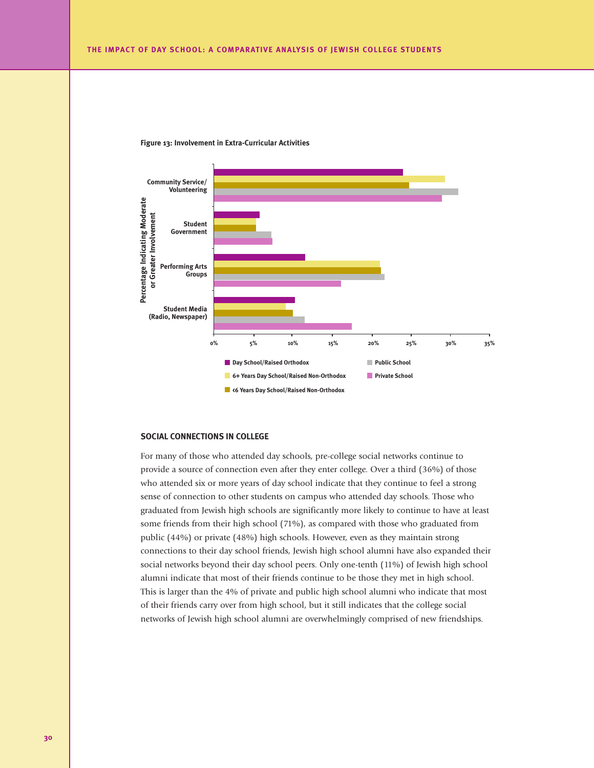

#### **Figure 13: Involvement in Extra-Curricular Activities**

#### **SOCIAL CONNECTIONS IN COLLEGE**

For many of those who attended day schools, pre-college social networks continue to provide a source of connection even after they enter college. Over a third (36%) of those who attended six or more years of day school indicate that they continue to feel a strong sense of connection to other students on campus who attended day schools. Those who graduated from Jewish high schools are significantly more likely to continue to have at least some friends from their high school (71%), as compared with those who graduated from public (44%) or private (48%) high schools. However, even as they maintain strong connections to their day school friends, Jewish high school alumni have also expanded their social networks beyond their day school peers. Only one-tenth (11%) of Jewish high school alumni indicate that most of their friends continue to be those they met in high school. This is larger than the 4% of private and public high school alumni who indicate that most of their friends carry over from high school, but it still indicates that the college social networks of Jewish high school alumni are overwhelmingly comprised of new friendships.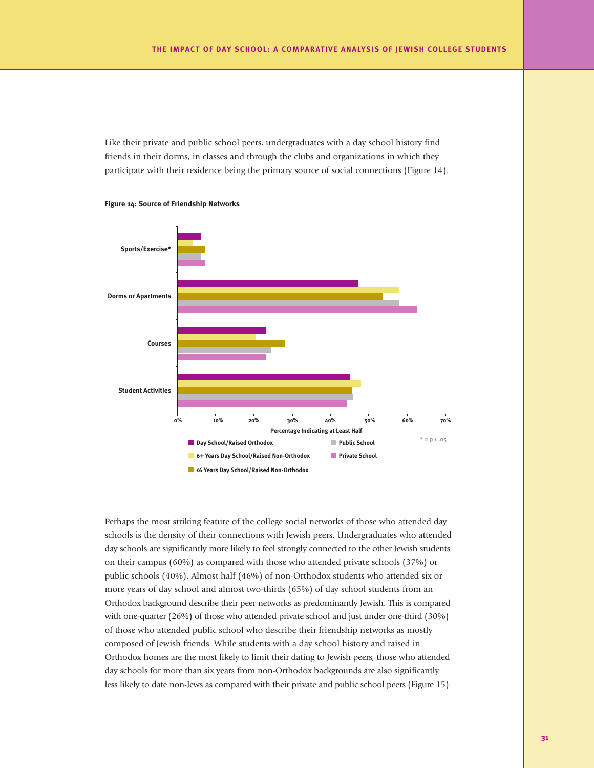Like their private and public school peers, undergraduates with a day school history find friends in their dorms, in classes and through the clubs and organizations in which they participate with their residence being the primary source of social connections (Figure 14).





Perhaps the most striking feature of the college social networks of those who attended day schools is the density of their connections with Jewish peers. Undergraduates who attended day schools are significantly more likely to feel strongly connected to the other Jewish students on their campus (60%) as compared with those who attended private schools (37%) or public schools (40%). Almost half (46%) of non-Orthodox students who attended six or more years of day school and almost two-thirds (65%) of day school students from an Orthodox background describe their peer networks as predominantly Jewish. This is compared with one-quarter (26%) of those who attended private school and just under one-third (30%) of those who attended public school who describe their friendship networks as mostly composed of Jewish friends. While students with a day school history and raised in Orthodox homes are the most likely to limit their dating to Jewish peers, those who attended day schools for more than six years from non-Orthodox backgrounds are also significantly less likely to date non-Jews as compared with their private and public school peers (Figure 15).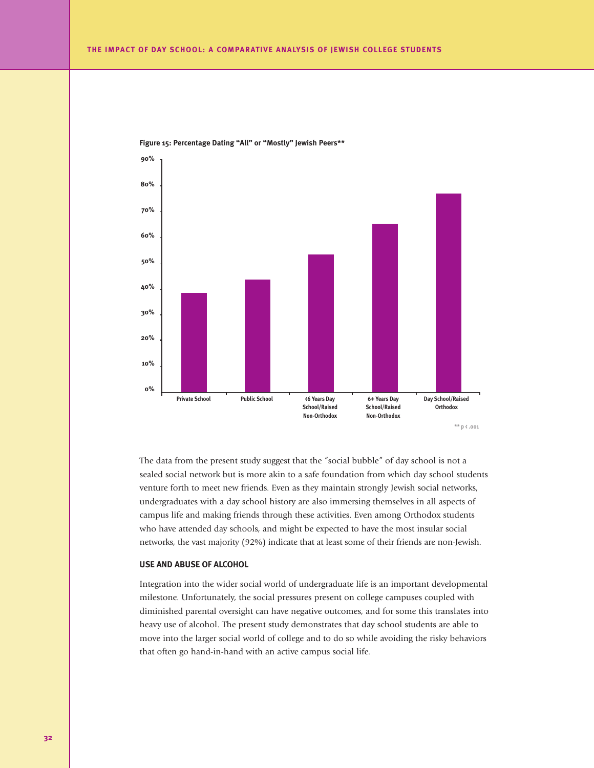

**Figure 15: Percentage Dating "All" or "Mostly" Jewish Peers\*\***

The data from the present study suggest that the "social bubble" of day school is not a sealed social network but is more akin to a safe foundation from which day school students venture forth to meet new friends. Even as they maintain strongly Jewish social networks, undergraduates with a day school history are also immersing themselves in all aspects of campus life and making friends through these activities. Even among Orthodox students who have attended day schools, and might be expected to have the most insular social networks, the vast majority (92%) indicate that at least some of their friends are non-Jewish.

#### **USE AND ABUSE OF ALCOHOL**

Integration into the wider social world of undergraduate life is an important developmental milestone. Unfortunately, the social pressures present on college campuses coupled with diminished parental oversight can have negative outcomes, and for some this translates into heavy use of alcohol. The present study demonstrates that day school students are able to move into the larger social world of college and to do so while avoiding the risky behaviors that often go hand-in-hand with an active campus social life.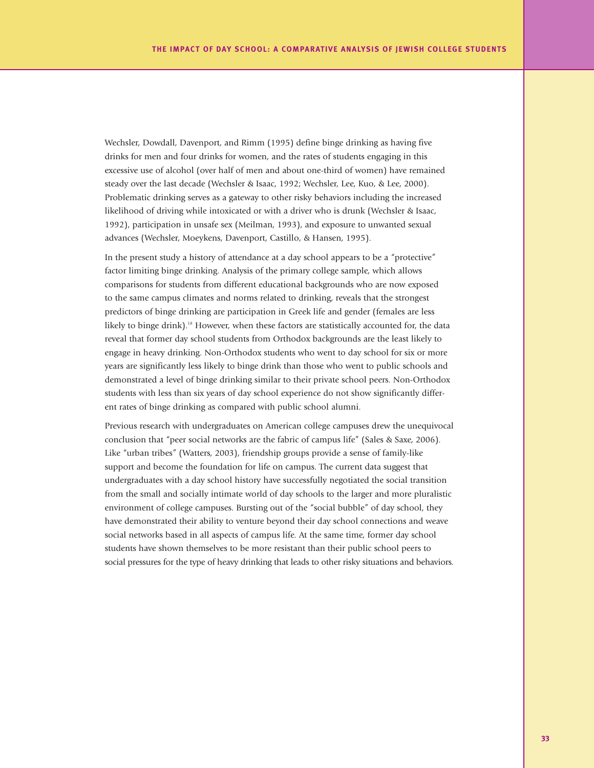Wechsler, Dowdall, Davenport, and Rimm (1995) define binge drinking as having five drinks for men and four drinks for women, and the rates of students engaging in this excessive use of alcohol (over half of men and about one-third of women) have remained steady over the last decade (Wechsler & Isaac, 1992; Wechsler, Lee, Kuo, & Lee, 2000). Problematic drinking serves as a gateway to other risky behaviors including the increased likelihood of driving while intoxicated or with a driver who is drunk (Wechsler & Isaac, 1992), participation in unsafe sex (Meilman, 1993), and exposure to unwanted sexual advances (Wechsler, Moeykens, Davenport, Castillo, & Hansen, 1995).

In the present study a history of attendance at a day school appears to be a "protective" factor limiting binge drinking. Analysis of the primary college sample, which allows comparisons for students from different educational backgrounds who are now exposed to the same campus climates and norms related to drinking, reveals that the strongest predictors of binge drinking are participation in Greek life and gender (females are less likely to binge drink).<sup>18</sup> However, when these factors are statistically accounted for, the data reveal that former day school students from Orthodox backgrounds are the least likely to engage in heavy drinking. Non-Orthodox students who went to day school for six or more years are significantly less likely to binge drink than those who went to public schools and demonstrated a level of binge drinking similar to their private school peers. Non-Orthodox students with less than six years of day school experience do not show significantly different rates of binge drinking as compared with public school alumni.

Previous research with undergraduates on American college campuses drew the unequivocal conclusion that "peer social networks are the fabric of campus life" (Sales & Saxe, 2006). Like "urban tribes" (Watters, 2003), friendship groups provide a sense of family-like support and become the foundation for life on campus. The current data suggest that undergraduates with a day school history have successfully negotiated the social transition from the small and socially intimate world of day schools to the larger and more pluralistic environment of college campuses. Bursting out of the "social bubble" of day school, they have demonstrated their ability to venture beyond their day school connections and weave social networks based in all aspects of campus life. At the same time, former day school students have shown themselves to be more resistant than their public school peers to social pressures for the type of heavy drinking that leads to other risky situations and behaviors.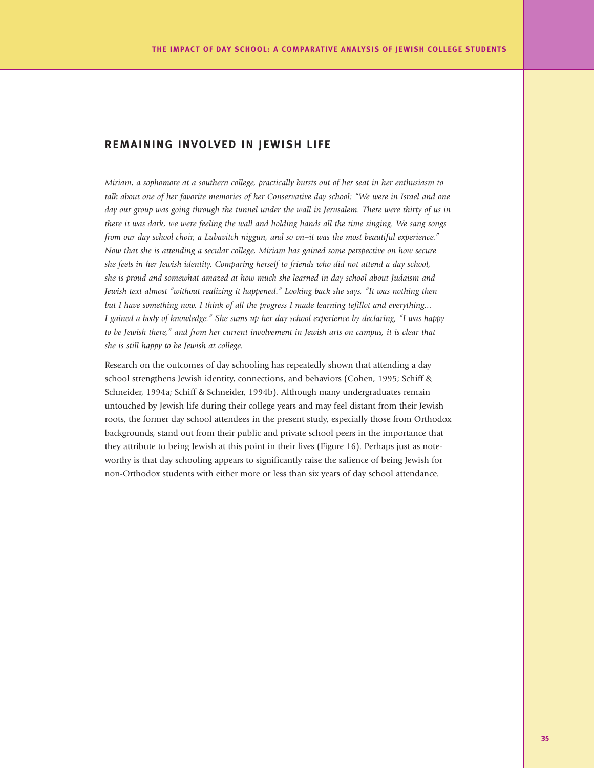#### **REMAINING INVOLVED IN JEWISH LIFE**

*Miriam, a sophomore at a southern college, practically bursts out of her seat in her enthusiasm to talk about one of her favorite memories of her Conservative day school: "We were in Israel and one day our group was going through the tunnel under the wall in Jerusalem. There were thirty of us in there it was dark, we were feeling the wall and holding hands all the time singing. We sang songs from our day school choir, a Lubavitch niggun, and so on–it was the most beautiful experience." Now that she is attending a secular college, Miriam has gained some perspective on how secure she feels in her Jewish identity. Comparing herself to friends who did not attend a day school, she is proud and somewhat amazed at how much she learned in day school about Judaism and Jewish text almost "without realizing it happened." Looking back she says, "It was nothing then but I have something now. I think of all the progress I made learning tefillot and everything... I gained a body of knowledge." She sums up her day school experience by declaring, "I was happy to be Jewish there," and from her current involvement in Jewish arts on campus, it is clear that she is still happy to be Jewish at college.*

Research on the outcomes of day schooling has repeatedly shown that attending a day school strengthens Jewish identity, connections, and behaviors (Cohen, 1995; Schiff & Schneider, 1994a; Schiff & Schneider, 1994b). Although many undergraduates remain untouched by Jewish life during their college years and may feel distant from their Jewish roots, the former day school attendees in the present study, especially those from Orthodox backgrounds, stand out from their public and private school peers in the importance that they attribute to being Jewish at this point in their lives (Figure 16). Perhaps just as noteworthy is that day schooling appears to significantly raise the salience of being Jewish for non-Orthodox students with either more or less than six years of day school attendance.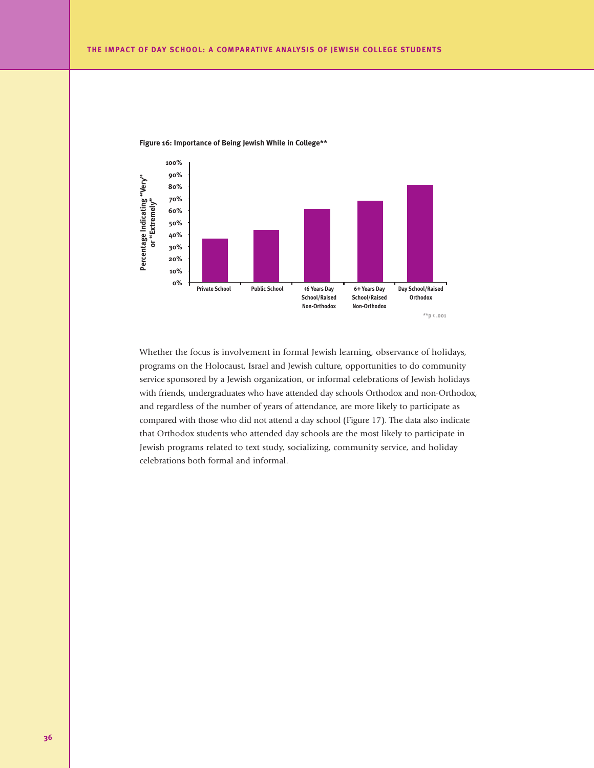

**Figure 16: Importance of Being Jewish While in College\*\***

Whether the focus is involvement in formal Jewish learning, observance of holidays, programs on the Holocaust, Israel and Jewish culture, opportunities to do community service sponsored by a Jewish organization, or informal celebrations of Jewish holidays with friends, undergraduates who have attended day schools Orthodox and non-Orthodox, and regardless of the number of years of attendance, are more likely to participate as compared with those who did not attend a day school (Figure 17). The data also indicate that Orthodox students who attended day schools are the most likely to participate in Jewish programs related to text study, socializing, community service, and holiday celebrations both formal and informal.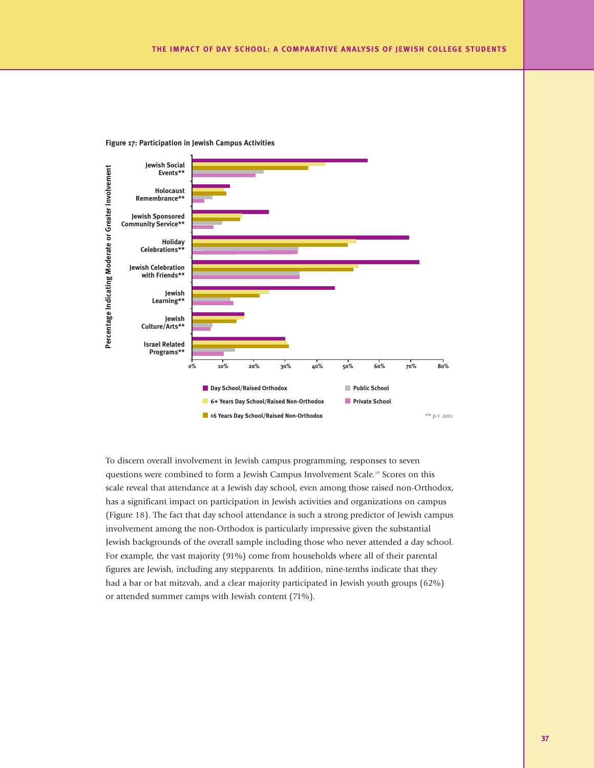

#### **Figure 17: Participation in Jewish Campus Activities**

To discern overall involvement in Jewish campus programming, responses to seven questions were combined to form a Jewish Campus Involvement Scale.<sup>19</sup> Scores on this scale reveal that attendance at a Jewish day school, even among those raised non-Orthodox, has a significant impact on participation in Jewish activities and organizations on campus (Figure 18). The fact that day school attendance is such a strong predictor of Jewish campus involvement among the non-Orthodox is particularly impressive given the substantial Jewish backgrounds of the overall sample including those who never attended a day school. For example, the vast majority (91%) come from households where all of their parental figures are Jewish, including any stepparents. In addition, nine-tenths indicate that they had a bar or bat mitzvah, and a clear majority participated in Jewish youth groups (62%) or attended summer camps with Jewish content (71%).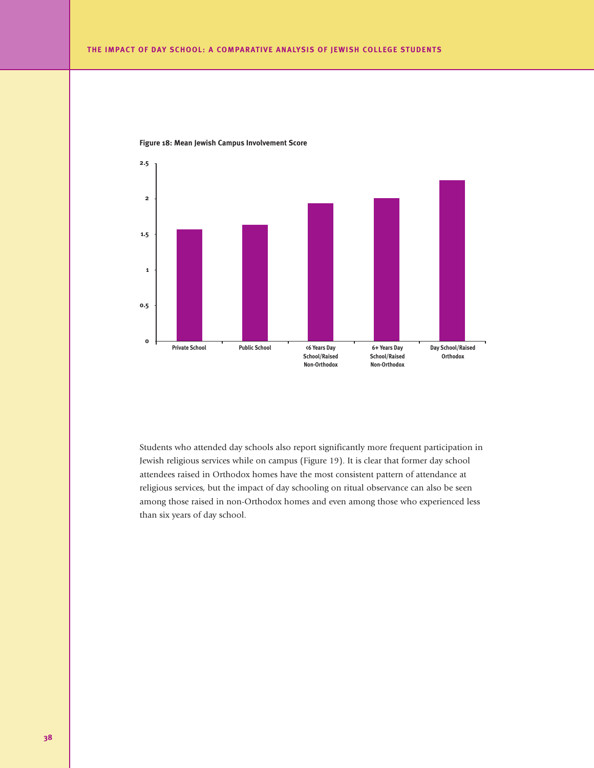

**Figure 18: Mean Jewish Campus Involvement Score**

Students who attended day schools also report significantly more frequent participation in Jewish religious services while on campus (Figure 19). It is clear that former day school attendees raised in Orthodox homes have the most consistent pattern of attendance at religious services, but the impact of day schooling on ritual observance can also be seen among those raised in non-Orthodox homes and even among those who experienced less than six years of day school.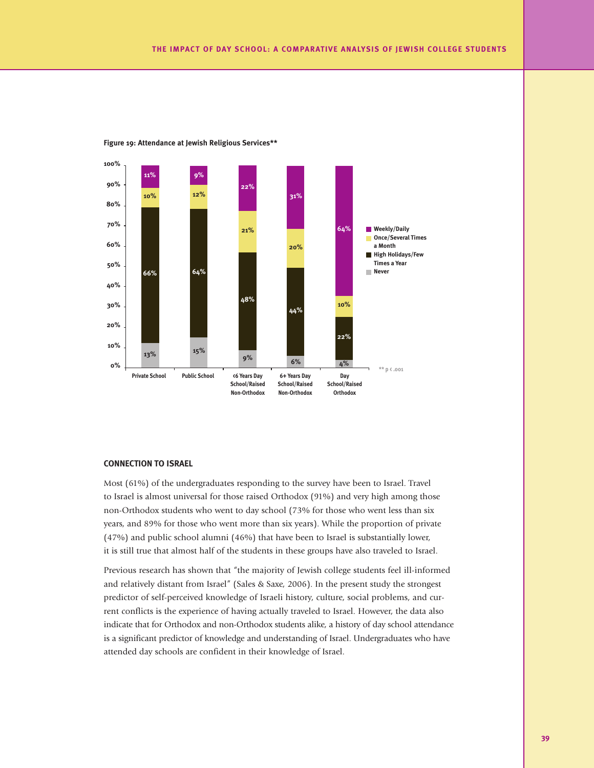

**Figure 19: Attendance at Jewish Religious Services\*\***

#### **CONNECTION TO ISRAEL**

Most (61%) of the undergraduates responding to the survey have been to Israel. Travel to Israel is almost universal for those raised Orthodox (91%) and very high among those non-Orthodox students who went to day school (73% for those who went less than six years, and 89% for those who went more than six years). While the proportion of private (47%) and public school alumni (46%) that have been to Israel is substantially lower, it is still true that almost half of the students in these groups have also traveled to Israel.

Previous research has shown that "the majority of Jewish college students feel ill-informed and relatively distant from Israel" (Sales & Saxe, 2006). In the present study the strongest predictor of self-perceived knowledge of Israeli history, culture, social problems, and current conflicts is the experience of having actually traveled to Israel. However, the data also indicate that for Orthodox and non-Orthodox students alike, a history of day school attendance is a significant predictor of knowledge and understanding of Israel. Undergraduates who have attended day schools are confident in their knowledge of Israel.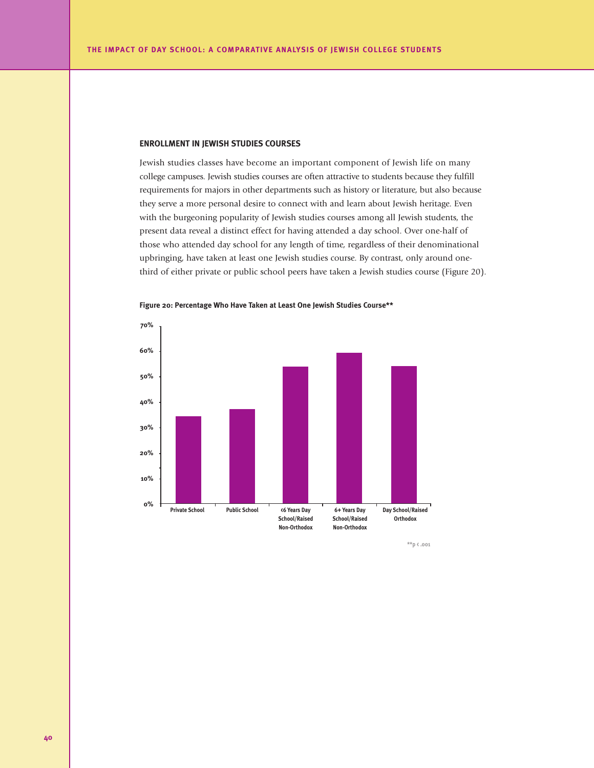#### **ENROLLMENT IN JEWISH STUDIES COURSES**

Jewish studies classes have become an important component of Jewish life on many college campuses. Jewish studies courses are often attractive to students because they fulfill requirements for majors in other departments such as history or literature, but also because they serve a more personal desire to connect with and learn about Jewish heritage. Even with the burgeoning popularity of Jewish studies courses among all Jewish students, the present data reveal a distinct effect for having attended a day school. Over one-half of those who attended day school for any length of time, regardless of their denominational upbringing, have taken at least one Jewish studies course. By contrast, only around onethird of either private or public school peers have taken a Jewish studies course (Figure 20).



**Figure 20: Percentage Who Have Taken at Least One Jewish Studies Course\*\***

**\*\*p < .001**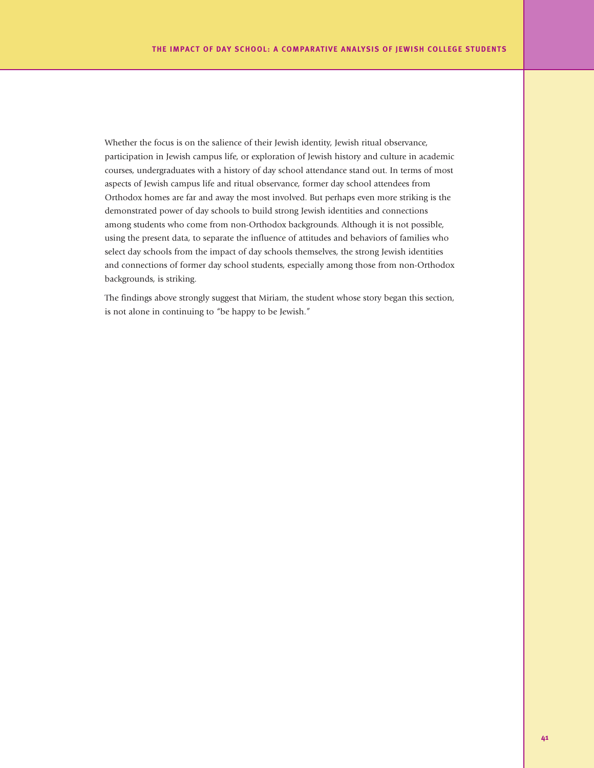Whether the focus is on the salience of their Jewish identity, Jewish ritual observance, participation in Jewish campus life, or exploration of Jewish history and culture in academic courses, undergraduates with a history of day school attendance stand out. In terms of most aspects of Jewish campus life and ritual observance, former day school attendees from Orthodox homes are far and away the most involved. But perhaps even more striking is the demonstrated power of day schools to build strong Jewish identities and connections among students who come from non-Orthodox backgrounds. Although it is not possible, using the present data, to separate the influence of attitudes and behaviors of families who select day schools from the impact of day schools themselves, the strong Jewish identities and connections of former day school students, especially among those from non-Orthodox backgrounds, is striking.

The findings above strongly suggest that Miriam, the student whose story began this section, is not alone in continuing to "be happy to be Jewish."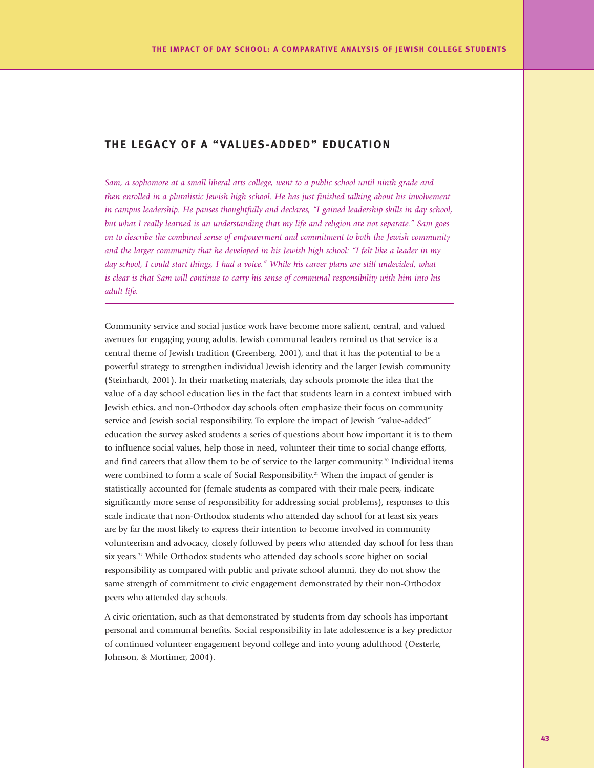#### **THE LEGACY OF A "VALUES-ADDED" EDUCATION**

*Sam, a sophomore at a small liberal arts college, went to a public school until ninth grade and then enrolled in a pluralistic Jewish high school. He has just finished talking about his involvement in campus leadership. He pauses thoughtfully and declares, "I gained leadership skills in day school, but what I really learned is an understanding that my life and religion are not separate." Sam goes on to describe the combined sense of empowerment and commitment to both the Jewish community and the larger community that he developed in his Jewish high school: "I felt like a leader in my day school, I could start things, I had a voice." While his career plans are still undecided, what is clear is that Sam will continue to carry his sense of communal responsibility with him into his adult life.*

Community service and social justice work have become more salient, central, and valued avenues for engaging young adults. Jewish communal leaders remind us that service is a central theme of Jewish tradition (Greenberg, 2001), and that it has the potential to be a powerful strategy to strengthen individual Jewish identity and the larger Jewish community (Steinhardt, 2001). In their marketing materials, day schools promote the idea that the value of a day school education lies in the fact that students learn in a context imbued with Jewish ethics, and non-Orthodox day schools often emphasize their focus on community service and Jewish social responsibility. To explore the impact of Jewish "value-added" education the survey asked students a series of questions about how important it is to them to influence social values, help those in need, volunteer their time to social change efforts, and find careers that allow them to be of service to the larger community.<sup>20</sup> Individual items were combined to form a scale of Social Responsibility.<sup>21</sup> When the impact of gender is statistically accounted for (female students as compared with their male peers, indicate significantly more sense of responsibility for addressing social problems), responses to this scale indicate that non-Orthodox students who attended day school for at least six years are by far the most likely to express their intention to become involved in community volunteerism and advocacy, closely followed by peers who attended day school for less than six years. <sup>22</sup> While Orthodox students who attended day schools score higher on social responsibility as compared with public and private school alumni, they do not show the same strength of commitment to civic engagement demonstrated by their non-Orthodox peers who attended day schools.

A civic orientation, such as that demonstrated by students from day schools has important personal and communal benefits. Social responsibility in late adolescence is a key predictor of continued volunteer engagement beyond college and into young adulthood (Oesterle, Johnson, & Mortimer, 2004).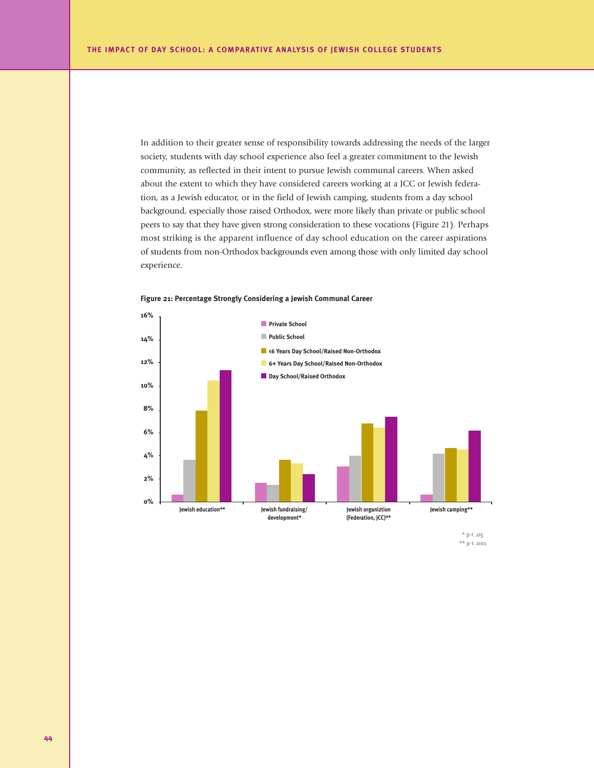In addition to their greater sense of responsibility towards addressing the needs of the larger society, students with day school experience also feel a greater commitment to the Jewish community, as reflected in their intent to pursue Jewish communal careers. When asked about the extent to which they have considered careers working at a JCC or Jewish federation, as a Jewish educator, or in the field of Jewish camping, students from a day school background, especially those raised Orthodox, were more likely than private or public school peers to say that they have given strong consideration to these vocations (Figure 21). Perhaps most striking is the apparent influence of day school education on the career aspirations of students from non-Orthodox backgrounds even among those with only limited day school experience.





 **\* p < .05 \*\* p < .001**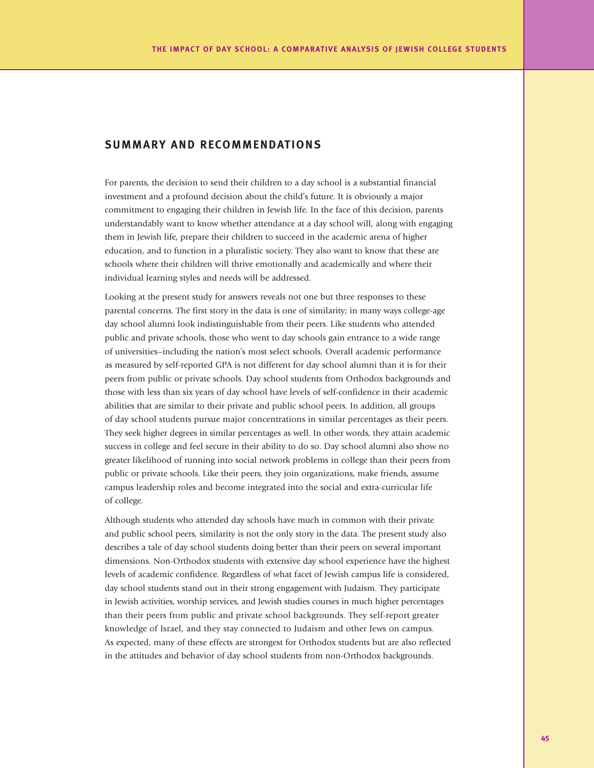#### **SUMMARY AND RECOMMENDATIONS**

For parents, the decision to send their children to a day school is a substantial financial investment and a profound decision about the child's future. It is obviously a major commitment to engaging their children in Jewish life. In the face of this decision, parents understandably want to know whether attendance at a day school will, along with engaging them in Jewish life, prepare their children to succeed in the academic arena of higher education, and to function in a pluralistic society. They also want to know that these are schools where their children will thrive emotionally and academically and where their individual learning styles and needs will be addressed.

Looking at the present study for answers reveals not one but three responses to these parental concerns. The first story in the data is one of similarity; in many ways college-age day school alumni look indistinguishable from their peers. Like students who attended public and private schools, those who went to day schools gain entrance to a wide range of universities–including the nation's most select schools. Overall academic performance as measured by self-reported GPA is not different for day school alumni than it is for their peers from public or private schools. Day school students from Orthodox backgrounds and those with less than six years of day school have levels of self-confidence in their academic abilities that are similar to their private and public school peers. In addition, all groups of day school students pursue major concentrations in similar percentages as their peers. They seek higher degrees in similar percentages as well. In other words, they attain academic success in college and feel secure in their ability to do so. Day school alumni also show no greater likelihood of running into social network problems in college than their peers from public or private schools. Like their peers, they join organizations, make friends, assume campus leadership roles and become integrated into the social and extra-curricular life of college.

Although students who attended day schools have much in common with their private and public school peers, similarity is not the only story in the data. The present study also describes a tale of day school students doing better than their peers on several important dimensions. Non-Orthodox students with extensive day school experience have the highest levels of academic confidence. Regardless of what facet of Jewish campus life is considered, day school students stand out in their strong engagement with Judaism. They participate in Jewish activities, worship services, and Jewish studies courses in much higher percentages than their peers from public and private school backgrounds. They self-report greater knowledge of Israel, and they stay connected to Judaism and other Jews on campus. As expected, many of these effects are strongest for Orthodox students but are also reflected in the attitudes and behavior of day school students from non-Orthodox backgrounds.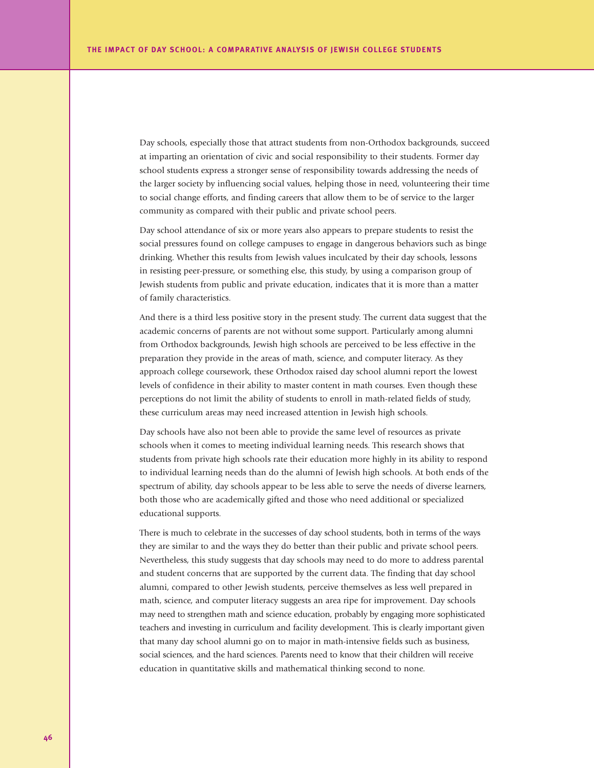Day schools, especially those that attract students from non-Orthodox backgrounds, succeed at imparting an orientation of civic and social responsibility to their students. Former day school students express a stronger sense of responsibility towards addressing the needs of the larger society by influencing social values, helping those in need, volunteering their time to social change efforts, and finding careers that allow them to be of service to the larger community as compared with their public and private school peers.

Day school attendance of six or more years also appears to prepare students to resist the social pressures found on college campuses to engage in dangerous behaviors such as binge drinking. Whether this results from Jewish values inculcated by their day schools, lessons in resisting peer-pressure, or something else, this study, by using a comparison group of Jewish students from public and private education, indicates that it is more than a matter of family characteristics.

And there is a third less positive story in the present study. The current data suggest that the academic concerns of parents are not without some support. Particularly among alumni from Orthodox backgrounds, Jewish high schools are perceived to be less effective in the preparation they provide in the areas of math, science, and computer literacy. As they approach college coursework, these Orthodox raised day school alumni report the lowest levels of confidence in their ability to master content in math courses. Even though these perceptions do not limit the ability of students to enroll in math-related fields of study, these curriculum areas may need increased attention in Jewish high schools.

Day schools have also not been able to provide the same level of resources as private schools when it comes to meeting individual learning needs. This research shows that students from private high schools rate their education more highly in its ability to respond to individual learning needs than do the alumni of Jewish high schools. At both ends of the spectrum of ability, day schools appear to be less able to serve the needs of diverse learners, both those who are academically gifted and those who need additional or specialized educational supports.

There is much to celebrate in the successes of day school students, both in terms of the ways they are similar to and the ways they do better than their public and private school peers. Nevertheless, this study suggests that day schools may need to do more to address parental and student concerns that are supported by the current data. The finding that day school alumni, compared to other Jewish students, perceive themselves as less well prepared in math, science, and computer literacy suggests an area ripe for improvement. Day schools may need to strengthen math and science education, probably by engaging more sophisticated teachers and investing in curriculum and facility development. This is clearly important given that many day school alumni go on to major in math-intensive fields such as business, social sciences, and the hard sciences. Parents need to know that their children will receive education in quantitative skills and mathematical thinking second to none.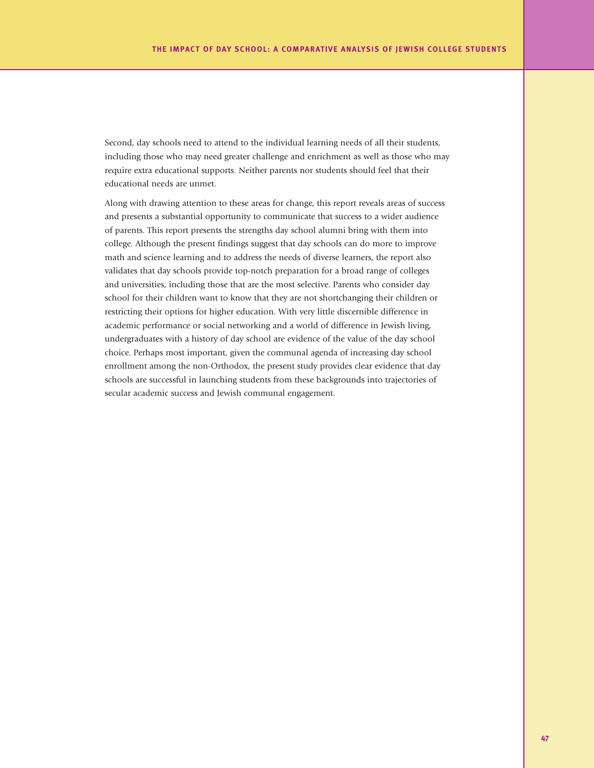Second, day schools need to attend to the individual learning needs of all their students, including those who may need greater challenge and enrichment as well as those who may require extra educational supports. Neither parents nor students should feel that their educational needs are unmet.

Along with drawing attention to these areas for change, this report reveals areas of success and presents a substantial opportunity to communicate that success to a wider audience of parents. This report presents the strengths day school alumni bring with them into college. Although the present findings suggest that day schools can do more to improve math and science learning and to address the needs of diverse learners, the report also validates that day schools provide top-notch preparation for a broad range of colleges and universities, including those that are the most selective. Parents who consider day school for their children want to know that they are not shortchanging their children or restricting their options for higher education. With very little discernible difference in academic performance or social networking and a world of difference in Jewish living, undergraduates with a history of day school are evidence of the value of the day school choice. Perhaps most important, given the communal agenda of increasing day school enrollment among the non-Orthodox, the present study provides clear evidence that day schools are successful in launching students from these backgrounds into trajectories of secular academic success and Jewish communal engagement.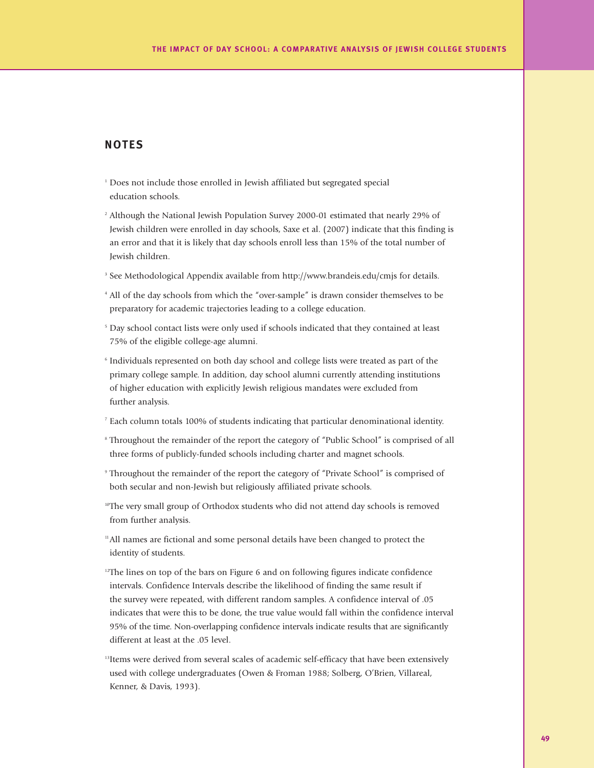#### **NOTES**

- <sup>1</sup> Does not include those enrolled in Jewish affiliated but segregated special education schools.
- <sup>2</sup> Although the National Jewish Population Survey 2000-01 estimated that nearly 29% of Jewish children were enrolled in day schools, Saxe et al. (2007) indicate that this finding is an error and that it is likely that day schools enroll less than 15% of the total number of Jewish children.
- <sup>3</sup> See Methodological Appendix available from http://www.brandeis.edu/cmjs for details.
- <sup>4</sup> All of the day schools from which the "over-sample" is drawn consider themselves to be preparatory for academic trajectories leading to a college education.
- <sup>5</sup> Day school contact lists were only used if schools indicated that they contained at least 75% of the eligible college-age alumni.
- <sup>6</sup> Individuals represented on both day school and college lists were treated as part of the primary college sample. In addition, day school alumni currently attending institutions of higher education with explicitly Jewish religious mandates were excluded from further analysis.
- <sup>7</sup> Each column totals 100% of students indicating that particular denominational identity.
- <sup>8</sup> Throughout the remainder of the report the category of "Public School" is comprised of all three forms of publicly-funded schools including charter and magnet schools.
- <sup>9</sup> Throughout the remainder of the report the category of "Private School" is comprised of both secular and non-Jewish but religiously affiliated private schools.
- <sup>10</sup>The very small group of Orthodox students who did not attend day schools is removed from further analysis.
- 11 All names are fictional and some personal details have been changed to protect the identity of students.
- $12$ The lines on top of the bars on Figure 6 and on following figures indicate confidence intervals. Confidence Intervals describe the likelihood of finding the same result if the survey were repeated, with different random samples. A confidence interval of .05 indicates that were this to be done, the true value would fall within the confidence interval 95% of the time. Non-overlapping confidence intervals indicate results that are significantly different at least at the .05 level.
- <sup>13</sup>Items were derived from several scales of academic self-efficacy that have been extensively used with college undergraduates (Owen & Froman 1988; Solberg, O'Brien, Villareal, Kenner, & Davis, 1993).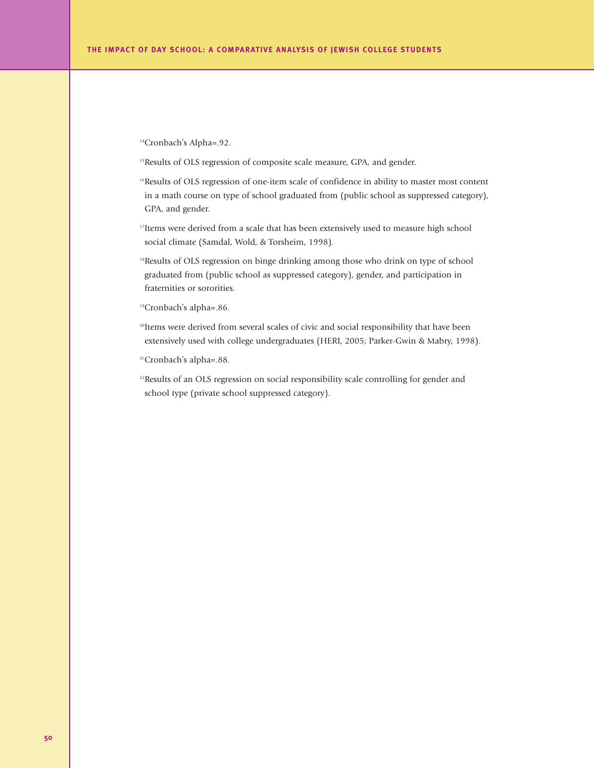14 Cronbach's Alpha=.92.

- <sup>15</sup>Results of OLS regression of composite scale measure, GPA, and gender.
- <sup>16</sup>Results of OLS regression of one-item scale of confidence in ability to master most content in a math course on type of school graduated from (public school as suppressed category), GPA, and gender.
- <sup>17</sup>Items were derived from a scale that has been extensively used to measure high school social climate (Samdal, Wold, & Torsheim, 1998).
- <sup>18</sup>Results of OLS regression on binge drinking among those who drink on type of school graduated from (public school as suppressed category), gender, and participation in fraternities or sororities.
- 19Cronbach's alpha=.86.
- <sup>20</sup>Items were derived from several scales of civic and social responsibility that have been extensively used with college undergraduates (HERI, 2005; Parker-Gwin & Mabry, 1998).

21Cronbach's alpha=.88.

<sup>22</sup>Results of an OLS regression on social responsibility scale controlling for gender and school type (private school suppressed category).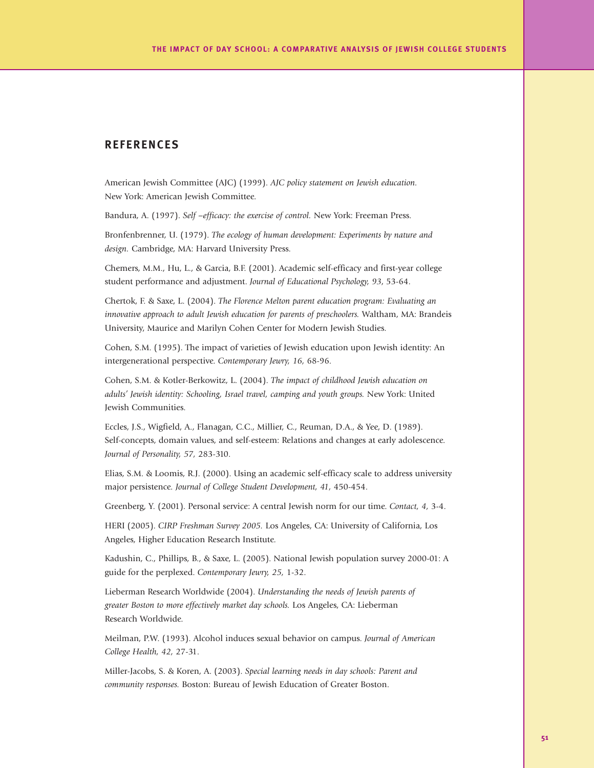#### **REFERENCES**

American Jewish Committee (AJC) (1999). *AJC policy statement on Jewish education.*  New York: American Jewish Committee.

Bandura, A. (1997). *Self –efficacy: the exercise of control.* New York: Freeman Press.

Bronfenbrenner, U. (1979). *The ecology of human development: Experiments by nature and design.* Cambridge, MA: Harvard University Press.

Chemers, M.M., Hu, L., & Garcia, B.F. (2001). Academic self-efficacy and first-year college student performance and adjustment. *Journal of Educational Psychology, 93*, 53-64.

Chertok, F. & Saxe, L. (2004). *The Florence Melton parent education program: Evaluating an innovative approach to adult Jewish education for parents of preschoolers.* Waltham, MA: Brandeis University, Maurice and Marilyn Cohen Center for Modern Jewish Studies.

Cohen, S.M. (1995). The impact of varieties of Jewish education upon Jewish identity: An intergenerational perspective. *Contemporary Jewry, 16,* 68-96.

Cohen, S.M. & Kotler-Berkowitz, L. (2004). *The impact of childhood Jewish education on adults' Jewish identity: Schooling, Israel travel, camping and youth groups.* New York: United Jewish Communities.

Eccles, J.S., Wigfield, A., Flanagan, C.C., Millier, C., Reuman, D.A., & Yee, D. (1989). Self-concepts, domain values, and self-esteem: Relations and changes at early adolescence. *Journal of Personality, 57,* 283-310.

Elias, S.M. & Loomis, R.J. (2000). Using an academic self-efficacy scale to address university major persistence. *Journal of College Student Development, 41,* 450-454.

Greenberg, Y. (2001). Personal service: A central Jewish norm for our time. *Contact, 4,* 3-4.

HERI (2005). *CIRP Freshman Survey 2005.* Los Angeles, CA: University of California, Los Angeles, Higher Education Research Institute.

Kadushin, C., Phillips, B., & Saxe, L. (2005). National Jewish population survey 2000-01: A guide for the perplexed. *Contemporary Jewry, 25,* 1-32.

Lieberman Research Worldwide (2004). *Understanding the needs of Jewish parents of greater Boston to more effectively market day schools.* Los Angeles, CA: Lieberman Research Worldwide.

Meilman, P.W. (1993). Alcohol induces sexual behavior on campus. *Journal of American College Health, 42,* 27-31.

Miller-Jacobs, S. & Koren, A. (2003). *Special learning needs in day schools: Parent and community responses.* Boston: Bureau of Jewish Education of Greater Boston.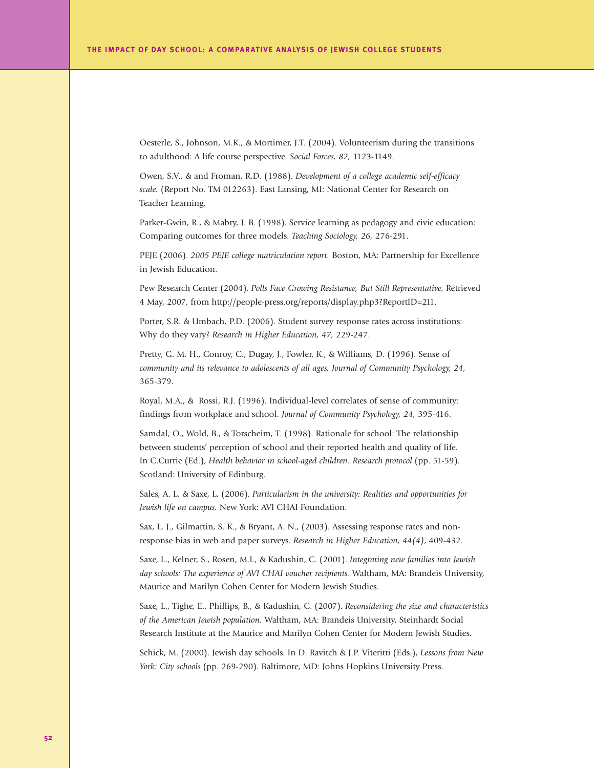Oesterle, S., Johnson, M.K., & Mortimer, J.T. (2004). Volunteerism during the transitions to adulthood: A life course perspective. *Social Forces, 82,* 1123-1149.

Owen, S.V., & and Froman, R.D. (1988). *Development of a college academic self-efficacy scale.* (Report No. TM 012263). East Lansing, MI: National Center for Research on Teacher Learning.

Parker-Gwin, R., & Mabry, J. B. (1998). Service learning as pedagogy and civic education: Comparing outcomes for three models. *Teaching Sociology, 26,* 276-291.

PEJE (2006). *2005 PEJE college matriculation report.* Boston, MA: Partnership for Excellence in Jewish Education.

Pew Research Center (2004). *Polls Face Growing Resistance, But Still Representative.* Retrieved 4 May, 2007, from http://people-press.org/reports/display.php3?ReportID=211.

Porter, S.R. & Umbach, P.D. (2006). Student survey response rates across institutions: Why do they vary? *Research in Higher Education, 47,* 229-247.

Pretty, G. M. H., Conroy, C., Dugay, J., Fowler, K., & Williams, D. (1996). Sense of *community and its relevance to adolescents of all ages. Journal of Community Psychology, 24,* 365-379.

Royal, M.A., & Rossi, R.J. (1996). Individual-level correlates of sense of community: findings from workplace and school. *Journal of Community Psychology, 24,* 395-416.

Samdal, O., Wold, B., & Torscheim, T. (1998). Rationale for school: The relationship between students' perception of school and their reported health and quality of life. In C.Currie (Ed.), *Health behavior in school-aged children. Research protocol* (pp. 51-59). Scotland: University of Edinburg.

Sales, A. L. & Saxe, L. (2006). *Particularism in the university: Realities and opportunities for Jewish life on campus.* New York: AVI CHAI Foundation.

Sax, L. J., Gilmartin, S. K., & Bryant, A. N., (2003). Assessing response rates and nonresponse bias in web and paper surveys. *Research in Higher Education, 44(4)*, 409-432.

Saxe, L., Kelner, S., Rosen, M.I., & Kadushin, C. (2001). *Integrating new families into Jewish day schools: The experience of AVI CHAI voucher recipients.* Waltham, MA: Brandeis University, Maurice and Marilyn Cohen Center for Modern Jewish Studies.

Saxe, L., Tighe, E., Phillips, B., & Kadushin, C. (2007). *Reconsidering the size and characteristics of the American Jewish population.* Waltham, MA: Brandeis University, Steinhardt Social Research Institute at the Maurice and Marilyn Cohen Center for Modern Jewish Studies.

Schick, M. (2000). Jewish day schools. In D. Ravitch & J.P. Viteritti (Eds.), *Lessons from New York: City schools* (pp. 269-290). Baltimore, MD: Johns Hopkins University Press.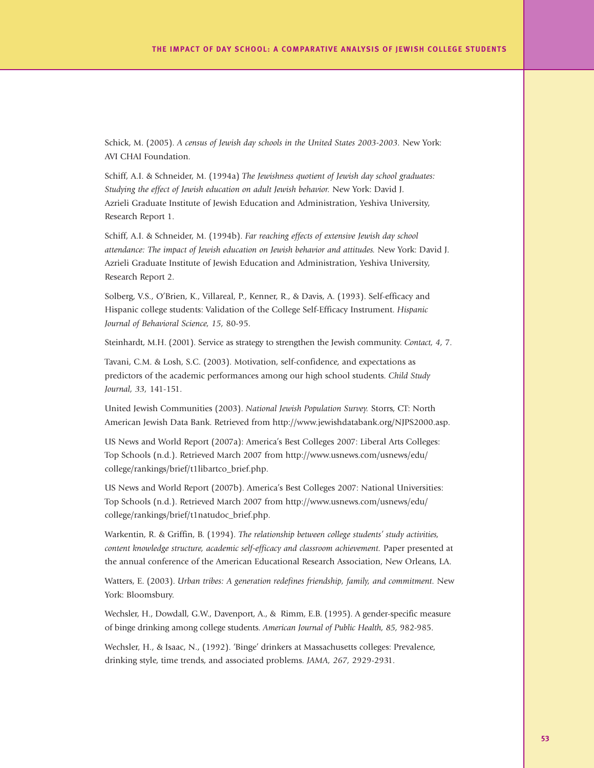Schick, M. (2005). *A census of Jewish day schools in the United States 2003-2003.* New York: AVI CHAI Foundation.

Schiff, A.I. & Schneider, M. (1994a) *The Jewishness quotient of Jewish day school graduates: Studying the effect of Jewish education on adult Jewish behavior.* New York: David J. Azrieli Graduate Institute of Jewish Education and Administration, Yeshiva University, Research Report 1.

Schiff, A.I. & Schneider, M. (1994b). *Far reaching effects of extensive Jewish day school attendance: The impact of Jewish education on Jewish behavior and attitudes.* New York: David J. Azrieli Graduate Institute of Jewish Education and Administration, Yeshiva University, Research Report 2.

Solberg, V.S., O'Brien, K., Villareal, P., Kenner, R., & Davis, A. (1993). Self-efficacy and Hispanic college students: Validation of the College Self-Efficacy Instrument. *Hispanic Journal of Behavioral Science, 15,* 80-95.

Steinhardt, M.H. (2001). Service as strategy to strengthen the Jewish community. *Contact, 4,* 7.

Tavani, C.M. & Losh, S.C. (2003). Motivation, self-confidence, and expectations as predictors of the academic performances among our high school students. *Child Study Journal, 33,* 141-151.

United Jewish Communities (2003). *National Jewish Population Survey.* Storrs, CT: North American Jewish Data Bank. Retrieved from http://www.jewishdatabank.org/NJPS2000.asp.

US News and World Report (2007a): America's Best Colleges 2007: Liberal Arts Colleges: Top Schools (n.d.). Retrieved March 2007 from http://www.usnews.com/usnews/edu/ college/rankings/brief/t1libartco\_brief.php.

US News and World Report (2007b). America's Best Colleges 2007: National Universities: Top Schools (n.d.). Retrieved March 2007 from http://www.usnews.com/usnews/edu/ college/rankings/brief/t1natudoc\_brief.php.

Warkentin, R. & Griffin, B. (1994). *The relationship between college students' study activities,* content knowledge structure, academic self-efficacy and classroom achievement. Paper presented at the annual conference of the American Educational Research Association, New Orleans, LA.

Watters, E. (2003). *Urban tribes: A generation redefines friendship, family, and commitment.* New York: Bloomsbury.

Wechsler, H., Dowdall, G.W., Davenport, A., & Rimm, E.B. (1995). A gender-specific measure of binge drinking among college students. *American Journal of Public Health, 85,* 982-985.

Wechsler, H., & Isaac, N., (1992). 'Binge' drinkers at Massachusetts colleges: Prevalence, drinking style, time trends, and associated problems. *JAMA, 267,* 2929-2931.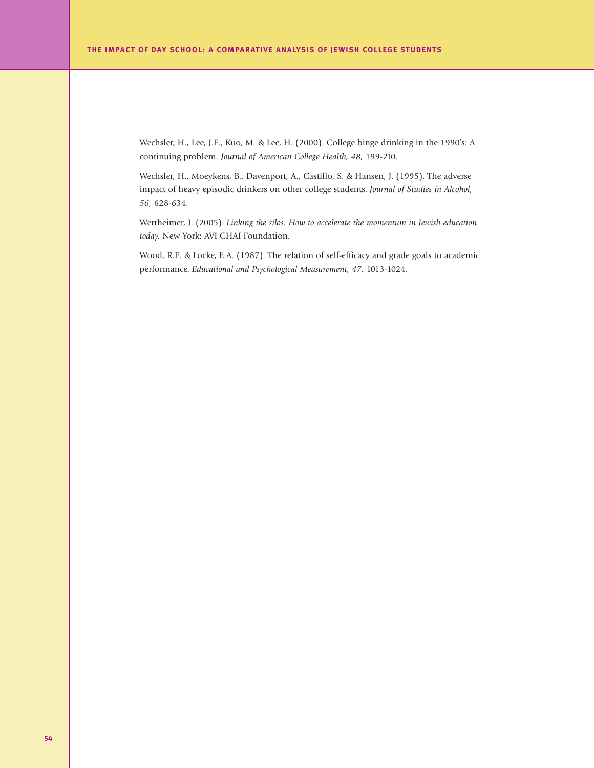Wechsler, H., Lee, J.E., Kuo, M. & Lee, H. (2000). College binge drinking in the 1990's: A continuing problem. *Journal of American College Health, 48,* 199-210.

Wechsler, H., Moeykens, B., Davenport, A., Castillo, S. & Hansen, J. (1995). The adverse impact of heavy episodic drinkers on other college students. *Journal of Studies in Alcohol, 56,* 628-634.

Wertheimer, J. (2005). *Linking the silos: How to accelerate the momentum in Jewish education today.* New York: AVI CHAI Foundation.

Wood, R.E. & Locke, E.A. (1987). The relation of self-efficacy and grade goals to academic performance. *Educational and Psychological Measurement, 47,* 1013-1024.